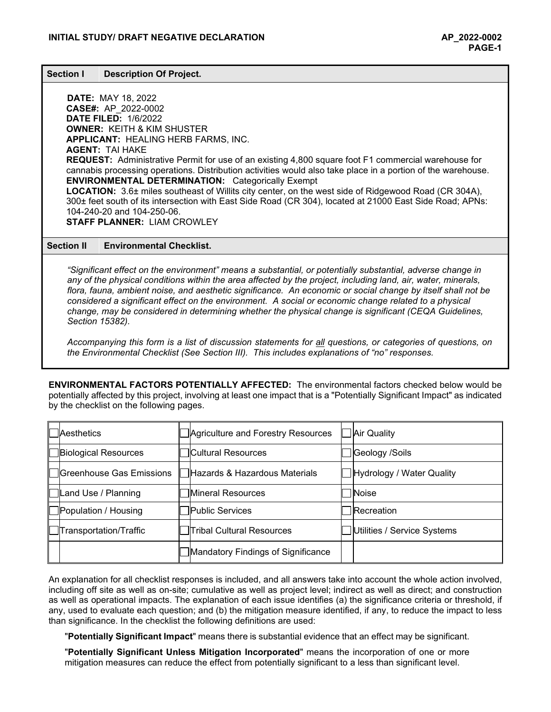#### **Section I Description Of Project.**

**DATE:** MAY 18, 2022 **CASE#:** AP\_2022-0002 **DATE FILED:** 1/6/2022 **OWNER:** KEITH & KIM SHUSTER **APPLICANT:** HEALING HERB FARMS, INC. **AGENT:** TAI HAKE **REQUEST:** Administrative Permit for use of an existing 4,800 square foot F1 commercial warehouse for cannabis processing operations. Distribution activities would also take place in a portion of the warehouse. **ENVIRONMENTAL DETERMINATION:** Categorically Exempt **LOCATION:** 3.6± miles southeast of Willits city center, on the west side of Ridgewood Road (CR 304A), 300± feet south of its intersection with East Side Road (CR 304), located at 21000 East Side Road; APNs: 104-240-20 and 104-250-06. **STAFF PLANNER:** LIAM CROWLEY

#### **Section II Environmental Checklist.**

*"Significant effect on the environment" means a substantial, or potentially substantial, adverse change in any of the physical conditions within the area affected by the project, including land, air, water, minerals, flora, fauna, ambient noise, and aesthetic significance. An economic or social change by itself shall not be considered a significant effect on the environment. A social or economic change related to a physical change, may be considered in determining whether the physical change is significant (CEQA Guidelines, Section 15382).*

*Accompanying this form is a list of discussion statements for all questions, or categories of questions, on the Environmental Checklist (See Section III). This includes explanations of "no" responses.*

**ENVIRONMENTAL FACTORS POTENTIALLY AFFECTED:** The environmental factors checked below would be potentially affected by this project, involving at least one impact that is a "Potentially Significant Impact" as indicated by the checklist on the following pages.

| <b>I</b> Aesthetics           | Agriculture and Forestry Resources | Air Quality                   |
|-------------------------------|------------------------------------|-------------------------------|
| <b>Biological Resources</b>   | Cultural Resources                 | Geology /Soils                |
| ∥   IGreenhouse Gas Emissions | ∃Hazards & Hazardous Materials     | Hydrology / Water Quality     |
| □Land Use / Planning          | <b>Mineral Resources</b>           | Noise                         |
| Population / Housing          | <b>IPublic Services</b>            | <b>Recreation</b>             |
| ████████████████████████      | ∏Tribal Cultural Resources         | ] Utilities / Service Systems |
|                               | Mandatory Findings of Significance |                               |

An explanation for all checklist responses is included, and all answers take into account the whole action involved, including off site as well as on-site; cumulative as well as project level; indirect as well as direct; and construction as well as operational impacts. The explanation of each issue identifies (a) the significance criteria or threshold, if any, used to evaluate each question; and (b) the mitigation measure identified, if any, to reduce the impact to less than significance. In the checklist the following definitions are used:

"**Potentially Significant Impact**" means there is substantial evidence that an effect may be significant.

"**Potentially Significant Unless Mitigation Incorporated**" means the incorporation of one or more mitigation measures can reduce the effect from potentially significant to a less than significant level.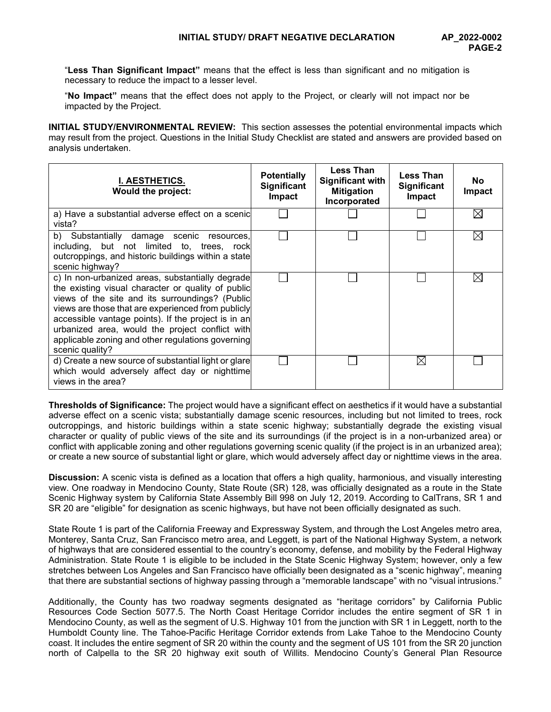"**Less Than Significant Impact"** means that the effect is less than significant and no mitigation is necessary to reduce the impact to a lesser level.

"**No Impact"** means that the effect does not apply to the Project, or clearly will not impact nor be impacted by the Project.

**INITIAL STUDY/ENVIRONMENTAL REVIEW:** This section assesses the potential environmental impacts which may result from the project. Questions in the Initial Study Checklist are stated and answers are provided based on analysis undertaken.

| I. AESTHETICS.<br><b>Would the project:</b>                                                                                                                                                                                                                                                                                                                                                       | <b>Potentially</b><br><b>Significant</b><br><b>Impact</b> | <b>Less Than</b><br><b>Significant with</b><br><b>Mitigation</b><br>Incorporated | <b>Less Than</b><br><b>Significant</b><br>Impact | No.<br><b>Impact</b> |
|---------------------------------------------------------------------------------------------------------------------------------------------------------------------------------------------------------------------------------------------------------------------------------------------------------------------------------------------------------------------------------------------------|-----------------------------------------------------------|----------------------------------------------------------------------------------|--------------------------------------------------|----------------------|
| a) Have a substantial adverse effect on a scenic<br>vista?                                                                                                                                                                                                                                                                                                                                        |                                                           |                                                                                  |                                                  | IX                   |
| b) Substantially damage scenic<br>resources.<br>including, but not limited to, trees, rock<br>outcroppings, and historic buildings within a state<br>scenic highway?                                                                                                                                                                                                                              |                                                           |                                                                                  |                                                  | $\boxtimes$          |
| c) In non-urbanized areas, substantially degrade<br>the existing visual character or quality of public<br>views of the site and its surroundings? (Public<br>views are those that are experienced from publicly<br>accessible vantage points). If the project is in an<br>urbanized area, would the project conflict with<br>applicable zoning and other regulations governing<br>scenic quality? |                                                           |                                                                                  |                                                  | IX                   |
| d) Create a new source of substantial light or glare<br>which would adversely affect day or nighttime<br>views in the area?                                                                                                                                                                                                                                                                       |                                                           |                                                                                  |                                                  |                      |

**Thresholds of Significance:** The project would have a significant effect on aesthetics if it would have a substantial adverse effect on a scenic vista; substantially damage scenic resources, including but not limited to trees, rock outcroppings, and historic buildings within a state scenic highway; substantially degrade the existing visual character or quality of public views of the site and its surroundings (if the project is in a non-urbanized area) or conflict with applicable zoning and other regulations governing scenic quality (if the project is in an urbanized area); or create a new source of substantial light or glare, which would adversely affect day or nighttime views in the area.

**Discussion:** A scenic vista is defined as a location that offers a high quality, harmonious, and visually interesting view. One roadway in Mendocino County, State Route (SR) 128, was officially designated as a route in the State Scenic Highway system by California State Assembly Bill 998 on July 12, 2019. According to CalTrans, SR 1 and SR 20 are "eligible" for designation as scenic highways, but have not been officially designated as such.

State Route 1 is part of the California Freeway and Expressway System, and through the Lost Angeles metro area, Monterey, Santa Cruz, San Francisco metro area, and Leggett, is part of the National Highway System, a network of highways that are considered essential to the country's economy, defense, and mobility by the Federal Highway Administration. State Route 1 is eligible to be included in the State Scenic Highway System; however, only a few stretches between Los Angeles and San Francisco have officially been designated as a "scenic highway", meaning that there are substantial sections of highway passing through a "memorable landscape" with no "visual intrusions."

Additionally, the County has two roadway segments designated as "heritage corridors" by California Public Resources Code Section 5077.5. The North Coast Heritage Corridor includes the entire segment of SR 1 in Mendocino County, as well as the segment of U.S. Highway 101 from the junction with SR 1 in Leggett, north to the Humboldt County line. The Tahoe-Pacific Heritage Corridor extends from Lake Tahoe to the Mendocino County coast. It includes the entire segment of SR 20 within the county and the segment of US 101 from the SR 20 junction north of Calpella to the SR 20 highway exit south of Willits. Mendocino County's General Plan Resource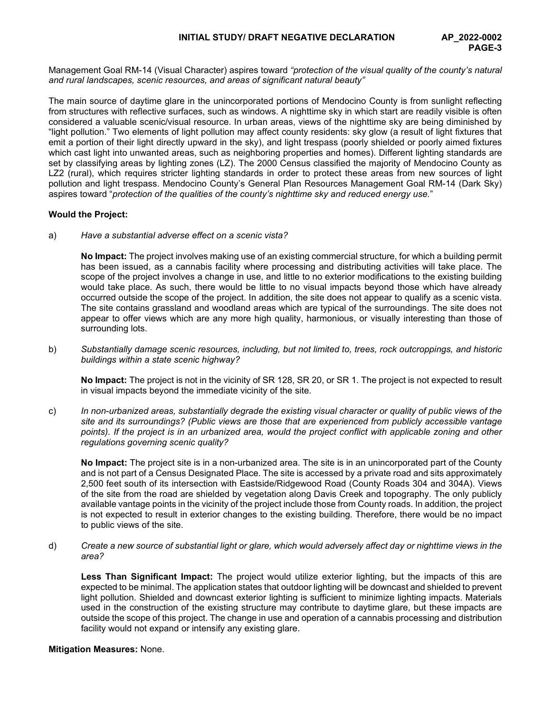Management Goal RM-14 (Visual Character) aspires toward *"protection of the visual quality of the county's natural and rural landscapes, scenic resources, and areas of significant natural beauty"*

The main source of daytime glare in the unincorporated portions of Mendocino County is from sunlight reflecting from structures with reflective surfaces, such as windows. A nighttime sky in which start are readily visible is often considered a valuable scenic/visual resource. In urban areas, views of the nighttime sky are being diminished by "light pollution." Two elements of light pollution may affect county residents: sky glow (a result of light fixtures that emit a portion of their light directly upward in the sky), and light trespass (poorly shielded or poorly aimed fixtures which cast light into unwanted areas, such as neighboring properties and homes). Different lighting standards are set by classifying areas by lighting zones (LZ). The 2000 Census classified the majority of Mendocino County as LZ2 (rural), which requires stricter lighting standards in order to protect these areas from new sources of light pollution and light trespass. Mendocino County's General Plan Resources Management Goal RM-14 (Dark Sky) aspires toward "*protection of the qualities of the county's nighttime sky and reduced energy use.*"

# **Would the Project:**

a) *Have a substantial adverse effect on a scenic vista?*

**No Impact:** The project involves making use of an existing commercial structure, for which a building permit has been issued, as a cannabis facility where processing and distributing activities will take place. The scope of the project involves a change in use, and little to no exterior modifications to the existing building would take place. As such, there would be little to no visual impacts beyond those which have already occurred outside the scope of the project. In addition, the site does not appear to qualify as a scenic vista. The site contains grassland and woodland areas which are typical of the surroundings. The site does not appear to offer views which are any more high quality, harmonious, or visually interesting than those of surrounding lots.

b) *Substantially damage scenic resources, including, but not limited to, trees, rock outcroppings, and historic buildings within a state scenic highway?*

**No Impact:** The project is not in the vicinity of SR 128, SR 20, or SR 1. The project is not expected to result in visual impacts beyond the immediate vicinity of the site.

c) *In non-urbanized areas, substantially degrade the existing visual character or quality of public views of the site and its surroundings? (Public views are those that are experienced from publicly accessible vantage*  points). If the project is in an urbanized area, would the project conflict with applicable zoning and other *regulations governing scenic quality?*

**No Impact:** The project site is in a non-urbanized area. The site is in an unincorporated part of the County and is not part of a Census Designated Place. The site is accessed by a private road and sits approximately 2,500 feet south of its intersection with Eastside/Ridgewood Road (County Roads 304 and 304A). Views of the site from the road are shielded by vegetation along Davis Creek and topography. The only publicly available vantage points in the vicinity of the project include those from County roads. In addition, the project is not expected to result in exterior changes to the existing building. Therefore, there would be no impact to public views of the site.

d) *Create a new source of substantial light or glare, which would adversely affect day or nighttime views in the area?*

**Less Than Significant Impact:** The project would utilize exterior lighting, but the impacts of this are expected to be minimal. The application states that outdoor lighting will be downcast and shielded to prevent light pollution. Shielded and downcast exterior lighting is sufficient to minimize lighting impacts. Materials used in the construction of the existing structure may contribute to daytime glare, but these impacts are outside the scope of this project. The change in use and operation of a cannabis processing and distribution facility would not expand or intensify any existing glare.

## **Mitigation Measures:** None.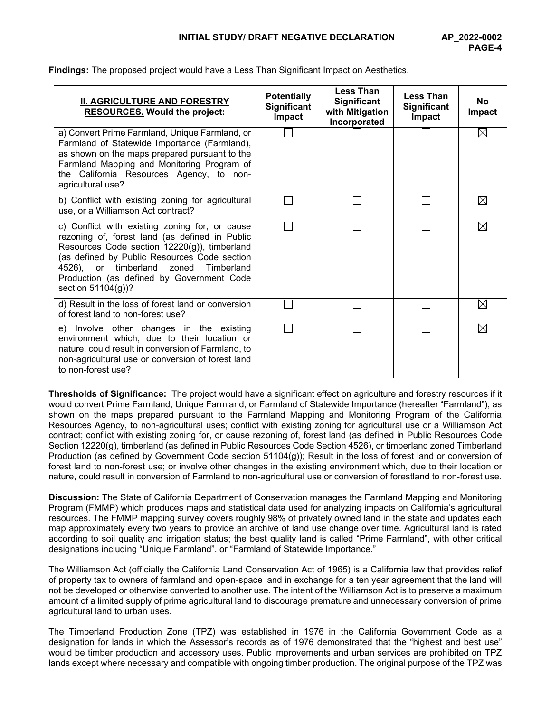**Findings:** The proposed project would have a Less Than Significant Impact on Aesthetics.

| <b>II. AGRICULTURE AND FORESTRY</b><br><b>RESOURCES. Would the project:</b>                                                                                                                                                                                                                                    | <b>Potentially</b><br>Significant<br><b>Impact</b> | <b>Less Than</b><br>Significant<br>with Mitigation<br>Incorporated | <b>Less Than</b><br><b>Significant</b><br>Impact | <b>No</b><br><b>Impact</b> |
|----------------------------------------------------------------------------------------------------------------------------------------------------------------------------------------------------------------------------------------------------------------------------------------------------------------|----------------------------------------------------|--------------------------------------------------------------------|--------------------------------------------------|----------------------------|
| a) Convert Prime Farmland, Unique Farmland, or<br>Farmland of Statewide Importance (Farmland),<br>as shown on the maps prepared pursuant to the<br>Farmland Mapping and Monitoring Program of<br>the California Resources Agency, to non-<br>agricultural use?                                                 |                                                    |                                                                    |                                                  | $\boxtimes$                |
| b) Conflict with existing zoning for agricultural<br>use, or a Williamson Act contract?                                                                                                                                                                                                                        |                                                    |                                                                    |                                                  | $\boxtimes$                |
| c) Conflict with existing zoning for, or cause<br>rezoning of, forest land (as defined in Public<br>Resources Code section 12220(g)), timberland<br>(as defined by Public Resources Code section<br>4526), or timberland zoned Timberland<br>Production (as defined by Government Code<br>section $51104(g)$ ? |                                                    |                                                                    |                                                  | $\boxtimes$                |
| d) Result in the loss of forest land or conversion<br>of forest land to non-forest use?                                                                                                                                                                                                                        |                                                    |                                                                    |                                                  | $\boxtimes$                |
| e) Involve other changes in the existing<br>environment which, due to their location or<br>nature, could result in conversion of Farmland, to<br>non-agricultural use or conversion of forest land<br>to non-forest use?                                                                                       |                                                    |                                                                    |                                                  | ⊠                          |

**Thresholds of Significance:** The project would have a significant effect on agriculture and forestry resources if it would convert Prime Farmland, Unique Farmland, or Farmland of Statewide Importance (hereafter "Farmland"), as shown on the maps prepared pursuant to the Farmland Mapping and Monitoring Program of the California Resources Agency, to non-agricultural uses; conflict with existing zoning for agricultural use or a Williamson Act contract; conflict with existing zoning for, or cause rezoning of, forest land (as defined in Public Resources Code Section 12220(g), timberland (as defined in Public Resources Code Section 4526), or timberland zoned Timberland Production (as defined by Government Code section 51104(g)); Result in the loss of forest land or conversion of forest land to non-forest use; or involve other changes in the existing environment which, due to their location or nature, could result in conversion of Farmland to non-agricultural use or conversion of forestland to non-forest use.

**Discussion:** The State of California Department of Conservation manages the Farmland Mapping and Monitoring Program (FMMP) which produces maps and statistical data used for analyzing impacts on California's agricultural resources. The FMMP mapping survey covers roughly 98% of privately owned land in the state and updates each map approximately every two years to provide an archive of land use change over time. Agricultural land is rated according to soil quality and irrigation status; the best quality land is called "Prime Farmland", with other critical designations including "Unique Farmland", or "Farmland of Statewide Importance."

The Williamson Act (officially the California Land Conservation Act of 1965) is a California law that provides relief of property tax to owners of farmland and open-space land in exchange for a ten year agreement that the land will not be developed or otherwise converted to another use. The intent of the Williamson Act is to preserve a maximum amount of a limited supply of prime agricultural land to discourage premature and unnecessary conversion of prime agricultural land to urban uses.

The Timberland Production Zone (TPZ) was established in 1976 in the California Government Code as a designation for lands in which the Assessor's records as of 1976 demonstrated that the "highest and best use" would be timber production and accessory uses. Public improvements and urban services are prohibited on TPZ lands except where necessary and compatible with ongoing timber production. The original purpose of the TPZ was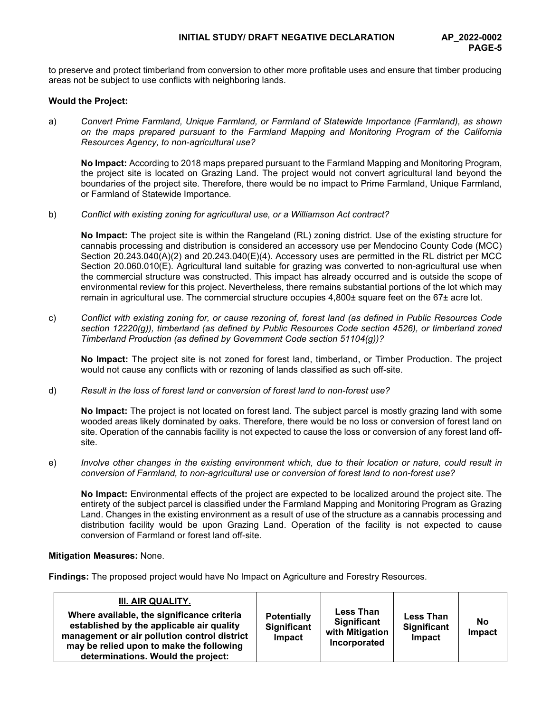to preserve and protect timberland from conversion to other more profitable uses and ensure that timber producing areas not be subject to use conflicts with neighboring lands.

## **Would the Project:**

a) *Convert Prime Farmland, Unique Farmland, or Farmland of Statewide Importance (Farmland), as shown on the maps prepared pursuant to the Farmland Mapping and Monitoring Program of the California Resources Agency, to non-agricultural use?*

**No Impact:** According to 2018 maps prepared pursuant to the Farmland Mapping and Monitoring Program, the project site is located on Grazing Land. The project would not convert agricultural land beyond the boundaries of the project site. Therefore, there would be no impact to Prime Farmland, Unique Farmland, or Farmland of Statewide Importance.

b) *Conflict with existing zoning for agricultural use, or a Williamson Act contract?*

**No Impact:** The project site is within the Rangeland (RL) zoning district. Use of the existing structure for cannabis processing and distribution is considered an accessory use per Mendocino County Code (MCC) Section 20.243.040(A)(2) and 20.243.040(E)(4). Accessory uses are permitted in the RL district per MCC Section 20.060.010(E). Agricultural land suitable for grazing was converted to non-agricultural use when the commercial structure was constructed. This impact has already occurred and is outside the scope of environmental review for this project. Nevertheless, there remains substantial portions of the lot which may remain in agricultural use. The commercial structure occupies 4,800± square feet on the 67± acre lot.

c) *Conflict with existing zoning for, or cause rezoning of, forest land (as defined in Public Resources Code*  section 12220(g)), timberland (as defined by Public Resources Code section 4526), or timberland zoned *Timberland Production (as defined by Government Code section 51104(g))?*

**No Impact:** The project site is not zoned for forest land, timberland, or Timber Production. The project would not cause any conflicts with or rezoning of lands classified as such off-site.

d) *Result in the loss of forest land or conversion of forest land to non-forest use?*

**No Impact:** The project is not located on forest land. The subject parcel is mostly grazing land with some wooded areas likely dominated by oaks. Therefore, there would be no loss or conversion of forest land on site. Operation of the cannabis facility is not expected to cause the loss or conversion of any forest land offsite.

e) *Involve other changes in the existing environment which, due to their location or nature, could result in conversion of Farmland, to non-agricultural use or conversion of forest land to non-forest use?*

**No Impact:** Environmental effects of the project are expected to be localized around the project site. The entirety of the subject parcel is classified under the Farmland Mapping and Monitoring Program as Grazing Land. Changes in the existing environment as a result of use of the structure as a cannabis processing and distribution facility would be upon Grazing Land. Operation of the facility is not expected to cause conversion of Farmland or forest land off-site.

## **Mitigation Measures:** None.

**Findings:** The proposed project would have No Impact on Agriculture and Forestry Resources.

| III. AIR QUALITY.<br>Where available, the significance criteria<br>established by the applicable air quality<br>management or air pollution control district<br>may be relied upon to make the following<br>determinations. Would the project: | <b>Potentially</b><br>Significant<br>Impact | <b>Less Than</b><br><b>Significant</b><br>with Mitigation<br>Incorporated | <b>Less Than</b><br><b>Significant</b><br>Impact | <b>No</b><br>Impact |
|------------------------------------------------------------------------------------------------------------------------------------------------------------------------------------------------------------------------------------------------|---------------------------------------------|---------------------------------------------------------------------------|--------------------------------------------------|---------------------|
|------------------------------------------------------------------------------------------------------------------------------------------------------------------------------------------------------------------------------------------------|---------------------------------------------|---------------------------------------------------------------------------|--------------------------------------------------|---------------------|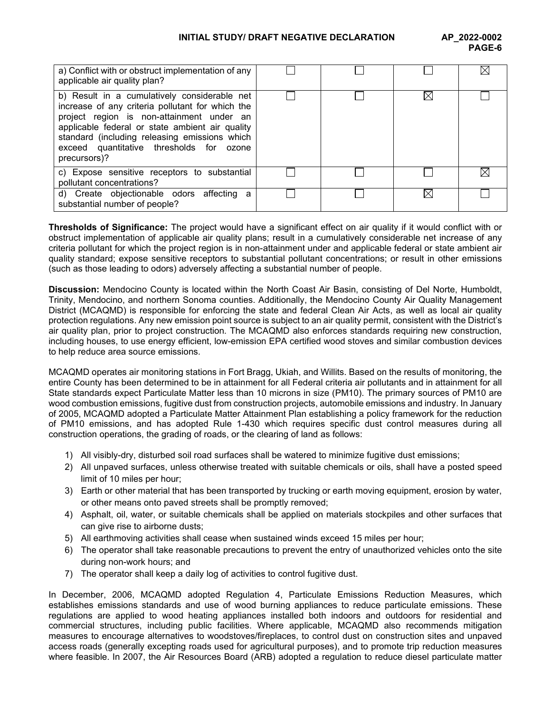## **INITIAL STUDY/ DRAFT NEGATIVE DECLARATION AP\_2022-0002**

| a) Conflict with or obstruct implementation of any<br>applicable air quality plan?                                                                                                                                                                                                                            |  |  |
|---------------------------------------------------------------------------------------------------------------------------------------------------------------------------------------------------------------------------------------------------------------------------------------------------------------|--|--|
| b) Result in a cumulatively considerable net<br>increase of any criteria pollutant for which the<br>project region is non-attainment under an<br>applicable federal or state ambient air quality<br>standard (including releasing emissions which<br>exceed quantitative thresholds for ozone<br>precursors)? |  |  |
| c) Expose sensitive receptors to substantial<br>pollutant concentrations?                                                                                                                                                                                                                                     |  |  |
| d) Create objectionable odors affecting a<br>substantial number of people?                                                                                                                                                                                                                                    |  |  |

**Thresholds of Significance:** The project would have a significant effect on air quality if it would conflict with or obstruct implementation of applicable air quality plans; result in a cumulatively considerable net increase of any criteria pollutant for which the project region is in non-attainment under and applicable federal or state ambient air quality standard; expose sensitive receptors to substantial pollutant concentrations; or result in other emissions (such as those leading to odors) adversely affecting a substantial number of people.

**Discussion:** Mendocino County is located within the North Coast Air Basin, consisting of Del Norte, Humboldt, Trinity, Mendocino, and northern Sonoma counties. Additionally, the Mendocino County Air Quality Management District (MCAQMD) is responsible for enforcing the state and federal Clean Air Acts, as well as local air quality protection regulations. Any new emission point source is subject to an air quality permit, consistent with the District's air quality plan, prior to project construction. The MCAQMD also enforces standards requiring new construction, including houses, to use energy efficient, low-emission EPA certified wood stoves and similar combustion devices to help reduce area source emissions.

MCAQMD operates air monitoring stations in Fort Bragg, Ukiah, and Willits. Based on the results of monitoring, the entire County has been determined to be in attainment for all Federal criteria air pollutants and in attainment for all State standards expect Particulate Matter less than 10 microns in size (PM10). The primary sources of PM10 are wood combustion emissions, fugitive dust from construction projects, automobile emissions and industry. In January of 2005, MCAQMD adopted a Particulate Matter Attainment Plan establishing a policy framework for the reduction of PM10 emissions, and has adopted Rule 1-430 which requires specific dust control measures during all construction operations, the grading of roads, or the clearing of land as follows:

- 1) All visibly-dry, disturbed soil road surfaces shall be watered to minimize fugitive dust emissions;
- 2) All unpaved surfaces, unless otherwise treated with suitable chemicals or oils, shall have a posted speed limit of 10 miles per hour;
- 3) Earth or other material that has been transported by trucking or earth moving equipment, erosion by water, or other means onto paved streets shall be promptly removed;
- 4) Asphalt, oil, water, or suitable chemicals shall be applied on materials stockpiles and other surfaces that can give rise to airborne dusts;
- 5) All earthmoving activities shall cease when sustained winds exceed 15 miles per hour;
- 6) The operator shall take reasonable precautions to prevent the entry of unauthorized vehicles onto the site during non-work hours; and
- 7) The operator shall keep a daily log of activities to control fugitive dust.

In December, 2006, MCAQMD adopted Regulation 4, Particulate Emissions Reduction Measures, which establishes emissions standards and use of wood burning appliances to reduce particulate emissions. These regulations are applied to wood heating appliances installed both indoors and outdoors for residential and commercial structures, including public facilities. Where applicable, MCAQMD also recommends mitigation measures to encourage alternatives to woodstoves/fireplaces, to control dust on construction sites and unpaved access roads (generally excepting roads used for agricultural purposes), and to promote trip reduction measures where feasible. In 2007, the Air Resources Board (ARB) adopted a regulation to reduce diesel particulate matter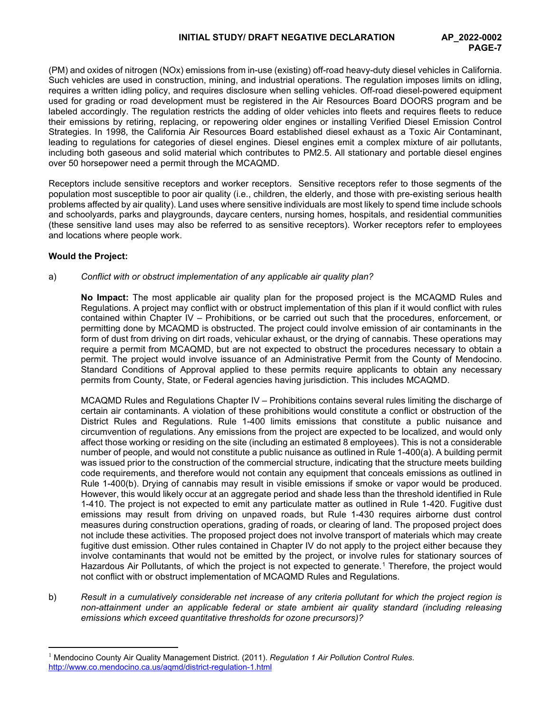(PM) and oxides of nitrogen (NOx) emissions from in-use (existing) off-road heavy-duty diesel vehicles in California. Such vehicles are used in construction, mining, and industrial operations. The regulation imposes limits on idling, requires a written idling policy, and requires disclosure when selling vehicles. Off-road diesel-powered equipment used for grading or road development must be registered in the Air Resources Board DOORS program and be labeled accordingly. The regulation restricts the adding of older vehicles into fleets and requires fleets to reduce their emissions by retiring, replacing, or repowering older engines or installing Verified Diesel Emission Control Strategies. In 1998, the California Air Resources Board established diesel exhaust as a Toxic Air Contaminant, leading to regulations for categories of diesel engines. Diesel engines emit a complex mixture of air pollutants, including both gaseous and solid material which contributes to PM2.5. All stationary and portable diesel engines over 50 horsepower need a permit through the MCAQMD.

Receptors include sensitive receptors and worker receptors. Sensitive receptors refer to those segments of the population most susceptible to poor air quality (i.e., children, the elderly, and those with pre-existing serious health problems affected by air quality). Land uses where sensitive individuals are most likely to spend time include schools and schoolyards, parks and playgrounds, daycare centers, nursing homes, hospitals, and residential communities (these sensitive land uses may also be referred to as sensitive receptors). Worker receptors refer to employees and locations where people work.

# **Would the Project:**

## a) *Conflict with or obstruct implementation of any applicable air quality plan?*

**No Impact:** The most applicable air quality plan for the proposed project is the MCAQMD Rules and Regulations. A project may conflict with or obstruct implementation of this plan if it would conflict with rules contained within Chapter IV – Prohibitions, or be carried out such that the procedures, enforcement, or permitting done by MCAQMD is obstructed. The project could involve emission of air contaminants in the form of dust from driving on dirt roads, vehicular exhaust, or the drying of cannabis. These operations may require a permit from MCAQMD, but are not expected to obstruct the procedures necessary to obtain a permit. The project would involve issuance of an Administrative Permit from the County of Mendocino. Standard Conditions of Approval applied to these permits require applicants to obtain any necessary permits from County, State, or Federal agencies having jurisdiction. This includes MCAQMD.

MCAQMD Rules and Regulations Chapter IV – Prohibitions contains several rules limiting the discharge of certain air contaminants. A violation of these prohibitions would constitute a conflict or obstruction of the District Rules and Regulations. Rule 1-400 limits emissions that constitute a public nuisance and circumvention of regulations. Any emissions from the project are expected to be localized, and would only affect those working or residing on the site (including an estimated 8 employees). This is not a considerable number of people, and would not constitute a public nuisance as outlined in Rule 1-400(a). A building permit was issued prior to the construction of the commercial structure, indicating that the structure meets building code requirements, and therefore would not contain any equipment that conceals emissions as outlined in Rule 1-400(b). Drying of cannabis may result in visible emissions if smoke or vapor would be produced. However, this would likely occur at an aggregate period and shade less than the threshold identified in Rule 1-410. The project is not expected to emit any particulate matter as outlined in Rule 1-420. Fugitive dust emissions may result from driving on unpaved roads, but Rule 1-430 requires airborne dust control measures during construction operations, grading of roads, or clearing of land. The proposed project does not include these activities. The proposed project does not involve transport of materials which may create fugitive dust emission. Other rules contained in Chapter IV do not apply to the project either because they involve contaminants that would not be emitted by the project, or involve rules for stationary sources of Hazardous Air Pollutants, of which the project is not expected to generate.<sup>[1](#page-6-0)</sup> Therefore, the project would not conflict with or obstruct implementation of MCAQMD Rules and Regulations.

b) *Result in a cumulatively considerable net increase of any criteria pollutant for which the project region is non-attainment under an applicable federal or state ambient air quality standard (including releasing emissions which exceed quantitative thresholds for ozone precursors)?*

<span id="page-6-0"></span><sup>1</sup> Mendocino County Air Quality Management District. (2011). *Regulation 1 Air Pollution Control Rules*. <http://www.co.mendocino.ca.us/aqmd/district-regulation-1.html>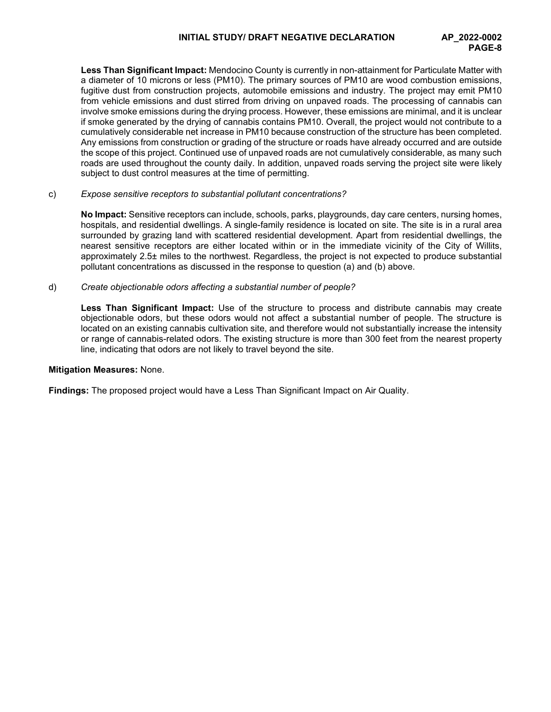**Less Than Significant Impact:** Mendocino County is currently in non-attainment for Particulate Matter with a diameter of 10 microns or less (PM10). The primary sources of PM10 are wood combustion emissions, fugitive dust from construction projects, automobile emissions and industry. The project may emit PM10 from vehicle emissions and dust stirred from driving on unpaved roads. The processing of cannabis can involve smoke emissions during the drying process. However, these emissions are minimal, and it is unclear if smoke generated by the drying of cannabis contains PM10. Overall, the project would not contribute to a cumulatively considerable net increase in PM10 because construction of the structure has been completed. Any emissions from construction or grading of the structure or roads have already occurred and are outside the scope of this project. Continued use of unpaved roads are not cumulatively considerable, as many such roads are used throughout the county daily. In addition, unpaved roads serving the project site were likely subject to dust control measures at the time of permitting.

## c) *Expose sensitive receptors to substantial pollutant concentrations?*

**No Impact:** Sensitive receptors can include, schools, parks, playgrounds, day care centers, nursing homes, hospitals, and residential dwellings. A single-family residence is located on site. The site is in a rural area surrounded by grazing land with scattered residential development. Apart from residential dwellings, the nearest sensitive receptors are either located within or in the immediate vicinity of the City of Willits, approximately 2.5± miles to the northwest. Regardless, the project is not expected to produce substantial pollutant concentrations as discussed in the response to question (a) and (b) above.

#### d) *Create objectionable odors affecting a substantial number of people?*

**Less Than Significant Impact:** Use of the structure to process and distribute cannabis may create objectionable odors, but these odors would not affect a substantial number of people. The structure is located on an existing cannabis cultivation site, and therefore would not substantially increase the intensity or range of cannabis-related odors. The existing structure is more than 300 feet from the nearest property line, indicating that odors are not likely to travel beyond the site.

#### **Mitigation Measures:** None.

**Findings:** The proposed project would have a Less Than Significant Impact on Air Quality.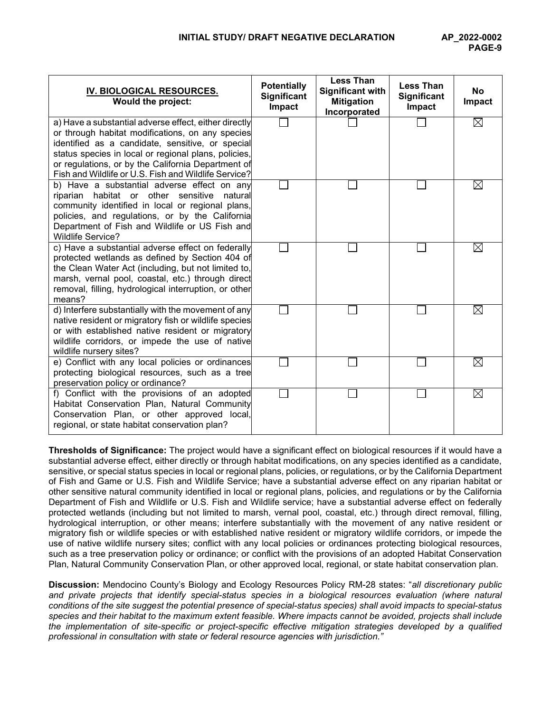| IV. BIOLOGICAL RESOURCES.<br>Would the project:                                                                                                                                                                                                                                                                                     | <b>Potentially</b><br>Significant<br>Impact | <b>Less Than</b><br><b>Significant with</b><br><b>Mitigation</b><br>Incorporated | <b>Less Than</b><br><b>Significant</b><br>Impact | <b>No</b><br>Impact |
|-------------------------------------------------------------------------------------------------------------------------------------------------------------------------------------------------------------------------------------------------------------------------------------------------------------------------------------|---------------------------------------------|----------------------------------------------------------------------------------|--------------------------------------------------|---------------------|
| a) Have a substantial adverse effect, either directly<br>or through habitat modifications, on any species<br>identified as a candidate, sensitive, or special<br>status species in local or regional plans, policies,<br>or regulations, or by the California Department of<br>Fish and Wildlife or U.S. Fish and Wildlife Service? |                                             |                                                                                  |                                                  | ⊠                   |
| b) Have a substantial adverse effect on any<br>riparian habitat or other sensitive<br>natural<br>community identified in local or regional plans,<br>policies, and regulations, or by the California<br>Department of Fish and Wildlife or US Fish and<br><b>Wildlife Service?</b>                                                  |                                             |                                                                                  |                                                  | $\boxtimes$         |
| c) Have a substantial adverse effect on federally<br>protected wetlands as defined by Section 404 of<br>the Clean Water Act (including, but not limited to,<br>marsh, vernal pool, coastal, etc.) through direct<br>removal, filling, hydrological interruption, or other<br>means?                                                 |                                             |                                                                                  |                                                  | $\boxtimes$         |
| d) Interfere substantially with the movement of any<br>native resident or migratory fish or wildlife species<br>or with established native resident or migratory<br>wildlife corridors, or impede the use of native<br>wildlife nursery sites?                                                                                      |                                             |                                                                                  |                                                  | $\boxtimes$         |
| e) Conflict with any local policies or ordinances<br>protecting biological resources, such as a tree<br>preservation policy or ordinance?                                                                                                                                                                                           |                                             |                                                                                  |                                                  | $\boxtimes$         |
| f) Conflict with the provisions of an adopted<br>Habitat Conservation Plan, Natural Community<br>Conservation Plan, or other approved local,<br>regional, or state habitat conservation plan?                                                                                                                                       |                                             |                                                                                  |                                                  | ⊠                   |

**Thresholds of Significance:** The project would have a significant effect on biological resources if it would have a substantial adverse effect, either directly or through habitat modifications, on any species identified as a candidate, sensitive, or special status species in local or regional plans, policies, or regulations, or by the California Department of Fish and Game or U.S. Fish and Wildlife Service; have a substantial adverse effect on any riparian habitat or other sensitive natural community identified in local or regional plans, policies, and regulations or by the California Department of Fish and Wildlife or U.S. Fish and Wildlife service; have a substantial adverse effect on federally protected wetlands (including but not limited to marsh, vernal pool, coastal, etc.) through direct removal, filling, hydrological interruption, or other means; interfere substantially with the movement of any native resident or migratory fish or wildlife species or with established native resident or migratory wildlife corridors, or impede the use of native wildlife nursery sites; conflict with any local policies or ordinances protecting biological resources, such as a tree preservation policy or ordinance; or conflict with the provisions of an adopted Habitat Conservation Plan, Natural Community Conservation Plan, or other approved local, regional, or state habitat conservation plan.

**Discussion:** Mendocino County's Biology and Ecology Resources Policy RM-28 states: "*all discretionary public and private projects that identify special-status species in a biological resources evaluation (where natural conditions of the site suggest the potential presence of special-status species) shall avoid impacts to special-status species and their habitat to the maximum extent feasible. Where impacts cannot be avoided, projects shall include the implementation of site-specific or project-specific effective mitigation strategies developed by a qualified professional in consultation with state or federal resource agencies with jurisdiction."*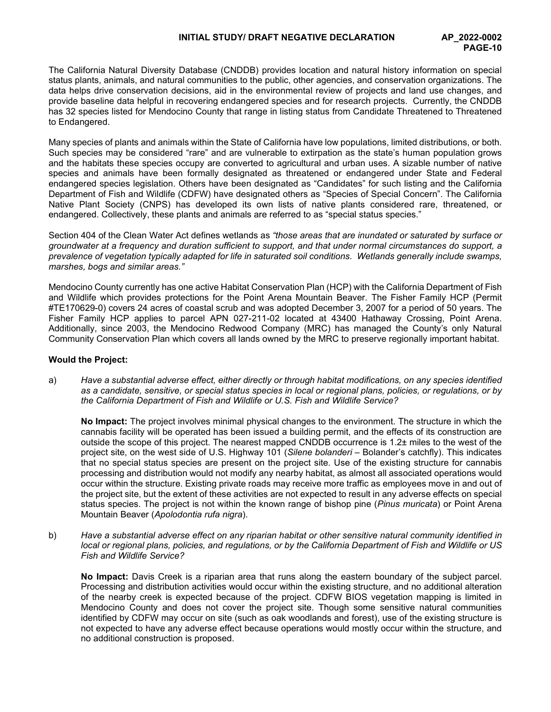The California Natural Diversity Database (CNDDB) provides location and natural history information on special status plants, animals, and natural communities to the public, other agencies, and conservation organizations. The data helps drive conservation decisions, aid in the environmental review of projects and land use changes, and provide baseline data helpful in recovering endangered species and for research projects. Currently, the CNDDB has 32 species listed for Mendocino County that range in listing status from Candidate Threatened to Threatened to Endangered.

Many species of plants and animals within the State of California have low populations, limited distributions, or both. Such species may be considered "rare" and are vulnerable to extirpation as the state's human population grows and the habitats these species occupy are converted to agricultural and urban uses. A sizable number of native species and animals have been formally designated as threatened or endangered under State and Federal endangered species legislation. Others have been designated as "Candidates" for such listing and the California Department of Fish and Wildlife (CDFW) have designated others as "Species of Special Concern". The California Native Plant Society (CNPS) has developed its own lists of native plants considered rare, threatened, or endangered. Collectively, these plants and animals are referred to as "special status species."

Section 404 of the Clean Water Act defines wetlands as *"those areas that are inundated or saturated by surface or groundwater at a frequency and duration sufficient to support, and that under normal circumstances do support, a prevalence of vegetation typically adapted for life in saturated soil conditions. Wetlands generally include swamps, marshes, bogs and similar areas."*

Mendocino County currently has one active Habitat Conservation Plan (HCP) with the California Department of Fish and Wildlife which provides protections for the Point Arena Mountain Beaver*.* The Fisher Family HCP (Permit #TE170629-0) covers 24 acres of coastal scrub and was adopted December 3, 2007 for a period of 50 years. The Fisher Family HCP applies to parcel APN 027-211-02 located at 43400 Hathaway Crossing, Point Arena. Additionally, since 2003, the Mendocino Redwood Company (MRC) has managed the County's only Natural Community Conservation Plan which covers all lands owned by the MRC to preserve regionally important habitat.

## **Would the Project:**

a) *Have a substantial adverse effect, either directly or through habitat modifications, on any species identified as a candidate, sensitive, or special status species in local or regional plans, policies, or regulations, or by the California Department of Fish and Wildlife or U.S. Fish and Wildlife Service?*

**No Impact:** The project involves minimal physical changes to the environment. The structure in which the cannabis facility will be operated has been issued a building permit, and the effects of its construction are outside the scope of this project. The nearest mapped CNDDB occurrence is 1.2± miles to the west of the project site, on the west side of U.S. Highway 101 (*Silene bolanderi –* Bolander's catchfly). This indicates that no special status species are present on the project site. Use of the existing structure for cannabis processing and distribution would not modify any nearby habitat, as almost all associated operations would occur within the structure. Existing private roads may receive more traffic as employees move in and out of the project site, but the extent of these activities are not expected to result in any adverse effects on special status species. The project is not within the known range of bishop pine (*Pinus muricata*) or Point Arena Mountain Beaver (*Apolodontia rufa nigra*).

b) *Have a substantial adverse effect on any riparian habitat or other sensitive natural community identified in local or regional plans, policies, and regulations, or by the California Department of Fish and Wildlife or US Fish and Wildlife Service?*

**No Impact:** Davis Creek is a riparian area that runs along the eastern boundary of the subject parcel. Processing and distribution activities would occur within the existing structure, and no additional alteration of the nearby creek is expected because of the project. CDFW BIOS vegetation mapping is limited in Mendocino County and does not cover the project site. Though some sensitive natural communities identified by CDFW may occur on site (such as oak woodlands and forest), use of the existing structure is not expected to have any adverse effect because operations would mostly occur within the structure, and no additional construction is proposed.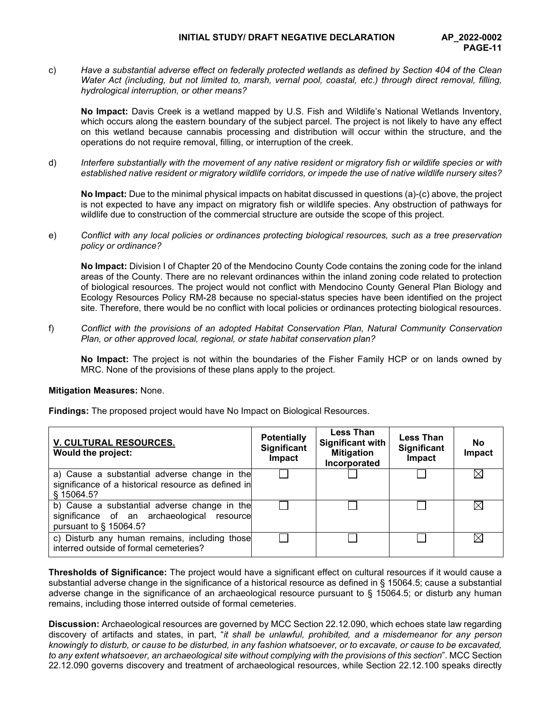## **INITIAL STUDY/ DRAFT NEGATIVE DECLARATION AP\_2022-0002**

c) *Have a substantial adverse effect on federally protected wetlands as defined by Section 404 of the Clean Water Act (including, but not limited to, marsh, vernal pool, coastal, etc.) through direct removal, filling, hydrological interruption, or other means?*

**No Impact:** Davis Creek is a wetland mapped by U.S. Fish and Wildlife's National Wetlands Inventory, which occurs along the eastern boundary of the subject parcel. The project is not likely to have any effect on this wetland because cannabis processing and distribution will occur within the structure, and the operations do not require removal, filling, or interruption of the creek.

d) *Interfere substantially with the movement of any native resident or migratory fish or wildlife species or with established native resident or migratory wildlife corridors, or impede the use of native wildlife nursery sites?*

**No Impact:** Due to the minimal physical impacts on habitat discussed in questions (a)-(c) above, the project is not expected to have any impact on migratory fish or wildlife species. Any obstruction of pathways for wildlife due to construction of the commercial structure are outside the scope of this project.

e) *Conflict with any local policies or ordinances protecting biological resources, such as a tree preservation policy or ordinance?*

**No Impact:** Division I of Chapter 20 of the Mendocino County Code contains the zoning code for the inland areas of the County. There are no relevant ordinances within the inland zoning code related to protection of biological resources. The project would not conflict with Mendocino County General Plan Biology and Ecology Resources Policy RM-28 because no special-status species have been identified on the project site. Therefore, there would be no conflict with local policies or ordinances protecting biological resources.

f) *Conflict with the provisions of an adopted Habitat Conservation Plan, Natural Community Conservation Plan, or other approved local, regional, or state habitat conservation plan?*

 **No Impact:** The project is not within the boundaries of the Fisher Family HCP or on lands owned by MRC. None of the provisions of these plans apply to the project.

## **Mitigation Measures:** None.

**Findings:** The proposed project would have No Impact on Biological Resources.

| <b>V. CULTURAL RESOURCES.</b><br>Would the project:                                                                  | <b>Potentially</b><br>Significant<br>Impact | <b>Less Than</b><br><b>Significant with</b><br><b>Mitigation</b><br>Incorporated | <b>Less Than</b><br>Significant<br>Impact | No<br>Impact |
|----------------------------------------------------------------------------------------------------------------------|---------------------------------------------|----------------------------------------------------------------------------------|-------------------------------------------|--------------|
| a) Cause a substantial adverse change in the<br>significance of a historical resource as defined in<br>§ 15064.5?    |                                             |                                                                                  |                                           | ⋉            |
| b) Cause a substantial adverse change in the<br>significance of an archaeological resource<br>pursuant to § 15064.5? |                                             |                                                                                  |                                           | IX           |
| c) Disturb any human remains, including those<br>interred outside of formal cemeteries?                              |                                             |                                                                                  |                                           | ΙX           |

**Thresholds of Significance:** The project would have a significant effect on cultural resources if it would cause a substantial adverse change in the significance of a historical resource as defined in § 15064.5; cause a substantial adverse change in the significance of an archaeological resource pursuant to § 15064.5; or disturb any human remains, including those interred outside of formal cemeteries.

**Discussion:** Archaeological resources are governed by MCC Section 22.12.090, which echoes state law regarding discovery of artifacts and states, in part, "*it shall be unlawful, prohibited, and a misdemeanor for any person knowingly to disturb, or cause to be disturbed, in any fashion whatsoever, or to excavate, or cause to be excavated, to any extent whatsoever, an archaeological site without complying with the provisions of this section*". MCC Section 22.12.090 governs discovery and treatment of archaeological resources, while Section 22.12.100 speaks directly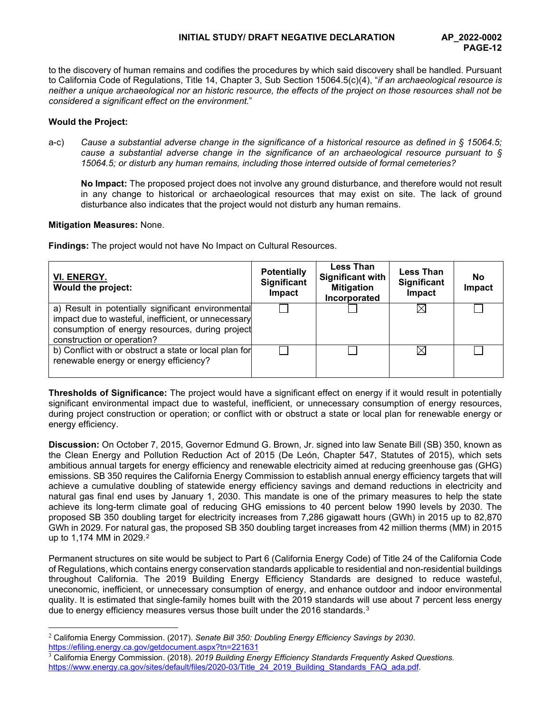to the discovery of human remains and codifies the procedures by which said discovery shall be handled. Pursuant to California Code of Regulations, Title 14, Chapter 3, Sub Section 15064.5(c)(4), "*if an archaeological resource is neither a unique archaeological nor an historic resource, the effects of the project on those resources shall not be considered a significant effect on the environment.*"

# **Would the Project:**

a-c) *Cause a substantial adverse change in the significance of a historical resource as defined in § 15064.5; cause a substantial adverse change in the significance of an archaeological resource pursuant to § 15064.5; or disturb any human remains, including those interred outside of formal cemeteries?*

**No Impact:** The proposed project does not involve any ground disturbance, and therefore would not result in any change to historical or archaeological resources that may exist on site. The lack of ground disturbance also indicates that the project would not disturb any human remains.

## **Mitigation Measures:** None.

**Findings:** The project would not have No Impact on Cultural Resources.

| VI. ENERGY.<br>Would the project:                                                                                                                                                          | <b>Potentially</b><br><b>Significant</b><br>Impact | <b>Less Than</b><br><b>Significant with</b><br><b>Mitigation</b><br>Incorporated | <b>Less Than</b><br><b>Significant</b><br>Impact | No<br>Impact |
|--------------------------------------------------------------------------------------------------------------------------------------------------------------------------------------------|----------------------------------------------------|----------------------------------------------------------------------------------|--------------------------------------------------|--------------|
| a) Result in potentially significant environmental<br>impact due to wasteful, inefficient, or unnecessary<br>consumption of energy resources, during project<br>construction or operation? |                                                    |                                                                                  | $\bowtie$                                        |              |
| b) Conflict with or obstruct a state or local plan for<br>renewable energy or energy efficiency?                                                                                           |                                                    |                                                                                  | $\times$ l                                       |              |

**Thresholds of Significance:** The project would have a significant effect on energy if it would result in potentially significant environmental impact due to wasteful, inefficient, or unnecessary consumption of energy resources, during project construction or operation; or conflict with or obstruct a state or local plan for renewable energy or energy efficiency.

**Discussion:** On October 7, 2015, Governor Edmund G. Brown, Jr. signed into law Senate Bill (SB) 350, known as the Clean Energy and Pollution Reduction Act of 2015 (De León, Chapter 547, Statutes of 2015), which sets ambitious annual targets for energy efficiency and renewable electricity aimed at reducing greenhouse gas (GHG) emissions. SB 350 requires the California Energy Commission to establish annual energy efficiency targets that will achieve a cumulative doubling of statewide energy efficiency savings and demand reductions in electricity and natural gas final end uses by January 1, 2030. This mandate is one of the primary measures to help the state achieve its long-term climate goal of reducing GHG emissions to 40 percent below 1990 levels by 2030. The proposed SB 350 doubling target for electricity increases from 7,286 gigawatt hours (GWh) in 2015 up to 82,870 GWh in 2029. For natural gas, the proposed SB 350 doubling target increases from 42 million therms (MM) in 2015 up to 1,174 MM in [2](#page-11-0)029.<sup>2</sup>

Permanent structures on site would be subject to Part 6 (California Energy Code) of Title 24 of the California Code of Regulations, which contains energy conservation standards applicable to residential and non-residential buildings throughout California. The 2019 Building Energy Efficiency Standards are designed to reduce wasteful, uneconomic, inefficient, or unnecessary consumption of energy, and enhance outdoor and indoor environmental quality. It is estimated that single-family homes built with the 2019 standards will use about 7 percent less energy due to energy efficiency measures versus those built under the 2016 standards.[3](#page-11-1)

<span id="page-11-0"></span><sup>2</sup> California Energy Commission. (2017). *Senate Bill 350: Doubling Energy Efficiency Savings by 2030*. <https://efiling.energy.ca.gov/getdocument.aspx?tn=221631>

<span id="page-11-1"></span><sup>3</sup> California Energy Commission. (2018). *2019 Building Energy Efficiency Standards Frequently Asked Questions.*  [https://www.energy.ca.gov/sites/default/files/2020-03/Title\\_24\\_2019\\_Building\\_Standards\\_FAQ\\_ada.pdf.](https://www.energy.ca.gov/sites/default/files/2020-03/Title_24_2019_Building_Standards_FAQ_ada.pdf)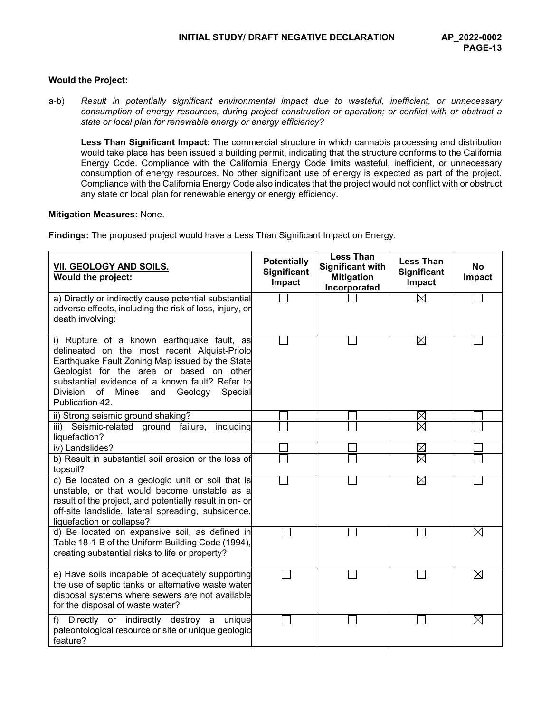#### **Would the Project:**

a-b) *Result in potentially significant environmental impact due to wasteful, inefficient, or unnecessary consumption of energy resources, during project construction or operation; or conflict with or obstruct a state or local plan for renewable energy or energy efficiency?*

**Less Than Significant Impact:** The commercial structure in which cannabis processing and distribution would take place has been issued a building permit, indicating that the structure conforms to the California Energy Code. Compliance with the California Energy Code limits wasteful, inefficient, or unnecessary consumption of energy resources. No other significant use of energy is expected as part of the project. Compliance with the California Energy Code also indicates that the project would not conflict with or obstruct any state or local plan for renewable energy or energy efficiency.

## **Mitigation Measures:** None.

**Findings:** The proposed project would have a Less Than Significant Impact on Energy.

| VII. GEOLOGY AND SOILS.<br>Would the project:                                                                                                                                                                                                                                                                                  | <b>Potentially</b><br><b>Significant</b><br>Impact | <b>Less Than</b><br><b>Significant with</b><br><b>Mitigation</b><br>Incorporated | <b>Less Than</b><br><b>Significant</b><br>Impact | <b>No</b><br>Impact |
|--------------------------------------------------------------------------------------------------------------------------------------------------------------------------------------------------------------------------------------------------------------------------------------------------------------------------------|----------------------------------------------------|----------------------------------------------------------------------------------|--------------------------------------------------|---------------------|
| a) Directly or indirectly cause potential substantial<br>adverse effects, including the risk of loss, injury, or<br>death involving:                                                                                                                                                                                           |                                                    |                                                                                  | $\boxtimes$                                      |                     |
| i) Rupture of a known earthquake fault, as<br>delineated on the most recent Alquist-Priolo<br>Earthquake Fault Zoning Map issued by the State<br>Geologist for the area or based on other<br>substantial evidence of a known fault? Refer to<br><b>Division</b><br>of<br>Mines<br>Geology<br>Special<br>and<br>Publication 42. |                                                    |                                                                                  | $\boxtimes$                                      |                     |
| ii) Strong seismic ground shaking?                                                                                                                                                                                                                                                                                             |                                                    |                                                                                  | $\times$                                         |                     |
| iii) Seismic-related ground failure,<br>including<br>liquefaction?                                                                                                                                                                                                                                                             |                                                    |                                                                                  | $\boxtimes$                                      |                     |
| iv) Landslides?                                                                                                                                                                                                                                                                                                                |                                                    |                                                                                  | $\boxtimes$                                      |                     |
| b) Result in substantial soil erosion or the loss of<br>topsoil?                                                                                                                                                                                                                                                               |                                                    |                                                                                  | $\boxtimes$                                      |                     |
| c) Be located on a geologic unit or soil that is<br>unstable, or that would become unstable as a<br>result of the project, and potentially result in on- or<br>off-site landslide, lateral spreading, subsidence,<br>liquefaction or collapse?                                                                                 |                                                    |                                                                                  | ⊠                                                |                     |
| d) Be located on expansive soil, as defined in<br>Table 18-1-B of the Uniform Building Code (1994),<br>creating substantial risks to life or property?                                                                                                                                                                         |                                                    |                                                                                  |                                                  | $\boxtimes$         |
| e) Have soils incapable of adequately supporting<br>the use of septic tanks or alternative waste water<br>disposal systems where sewers are not available<br>for the disposal of waste water?                                                                                                                                  |                                                    |                                                                                  |                                                  | $\boxtimes$         |
| Directly or indirectly destroy a unique<br>f)<br>paleontological resource or site or unique geologic<br>feature?                                                                                                                                                                                                               |                                                    |                                                                                  |                                                  | $\boxtimes$         |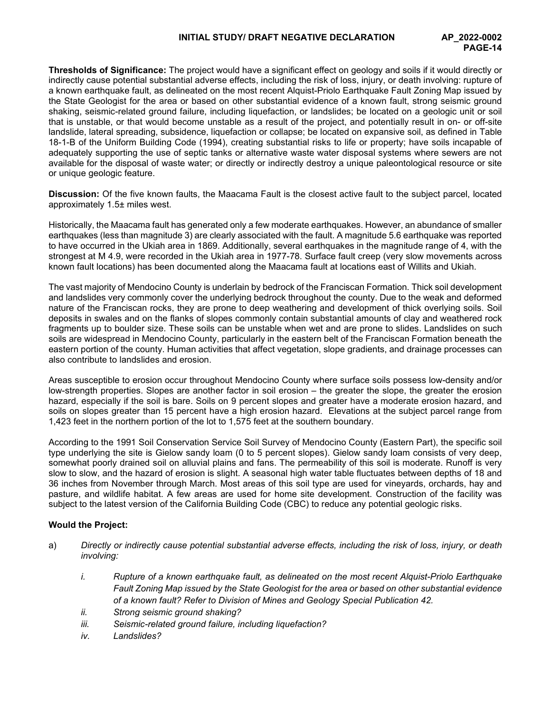**Thresholds of Significance:** The project would have a significant effect on geology and soils if it would directly or indirectly cause potential substantial adverse effects, including the risk of loss, injury, or death involving: rupture of a known earthquake fault, as delineated on the most recent Alquist-Priolo Earthquake Fault Zoning Map issued by the State Geologist for the area or based on other substantial evidence of a known fault, strong seismic ground shaking, seismic-related ground failure, including liquefaction, or landslides; be located on a geologic unit or soil that is unstable, or that would become unstable as a result of the project, and potentially result in on- or off-site landslide, lateral spreading, subsidence, liquefaction or collapse; be located on expansive soil, as defined in Table 18-1-B of the Uniform Building Code (1994), creating substantial risks to life or property; have soils incapable of adequately supporting the use of septic tanks or alternative waste water disposal systems where sewers are not available for the disposal of waste water; or directly or indirectly destroy a unique paleontological resource or site or unique geologic feature.

**Discussion:** Of the five known faults, the Maacama Fault is the closest active fault to the subject parcel, located approximately 1.5± miles west.

Historically, the Maacama fault has generated only a few moderate earthquakes. However, an abundance of smaller earthquakes (less than magnitude 3) are clearly associated with the fault. A magnitude 5.6 earthquake was reported to have occurred in the Ukiah area in 1869. Additionally, several earthquakes in the magnitude range of 4, with the strongest at M 4.9, were recorded in the Ukiah area in 1977-78. Surface fault creep (very slow movements across known fault locations) has been documented along the Maacama fault at locations east of Willits and Ukiah.

The vast majority of Mendocino County is underlain by bedrock of the Franciscan Formation. Thick soil development and landslides very commonly cover the underlying bedrock throughout the county. Due to the weak and deformed nature of the Franciscan rocks, they are prone to deep weathering and development of thick overlying soils. Soil deposits in swales and on the flanks of slopes commonly contain substantial amounts of clay and weathered rock fragments up to boulder size. These soils can be unstable when wet and are prone to slides. Landslides on such soils are widespread in Mendocino County, particularly in the eastern belt of the Franciscan Formation beneath the eastern portion of the county. Human activities that affect vegetation, slope gradients, and drainage processes can also contribute to landslides and erosion.

Areas susceptible to erosion occur throughout Mendocino County where surface soils possess low-density and/or low-strength properties. Slopes are another factor in soil erosion – the greater the slope, the greater the erosion hazard, especially if the soil is bare. Soils on 9 percent slopes and greater have a moderate erosion hazard, and soils on slopes greater than 15 percent have a high erosion hazard. Elevations at the subject parcel range from 1,423 feet in the northern portion of the lot to 1,575 feet at the southern boundary.

According to the 1991 Soil Conservation Service Soil Survey of Mendocino County (Eastern Part), the specific soil type underlying the site is Gielow sandy loam (0 to 5 percent slopes). Gielow sandy loam consists of very deep, somewhat poorly drained soil on alluvial plains and fans. The permeability of this soil is moderate. Runoff is very slow to slow, and the hazard of erosion is slight. A seasonal high water table fluctuates between depths of 18 and 36 inches from November through March. Most areas of this soil type are used for vineyards, orchards, hay and pasture, and wildlife habitat. A few areas are used for home site development. Construction of the facility was subject to the latest version of the California Building Code (CBC) to reduce any potential geologic risks.

# **Would the Project:**

- a) *Directly or indirectly cause potential substantial adverse effects, including the risk of loss, injury, or death involving:*
	- *i. Rupture of a known earthquake fault, as delineated on the most recent Alquist-Priolo Earthquake Fault Zoning Map issued by the State Geologist for the area or based on other substantial evidence of a known fault? Refer to Division of Mines and Geology Special Publication 42.*
	- *ii. Strong seismic ground shaking?*
	- *iii. Seismic-related ground failure, including liquefaction?*
	- *iv. Landslides?*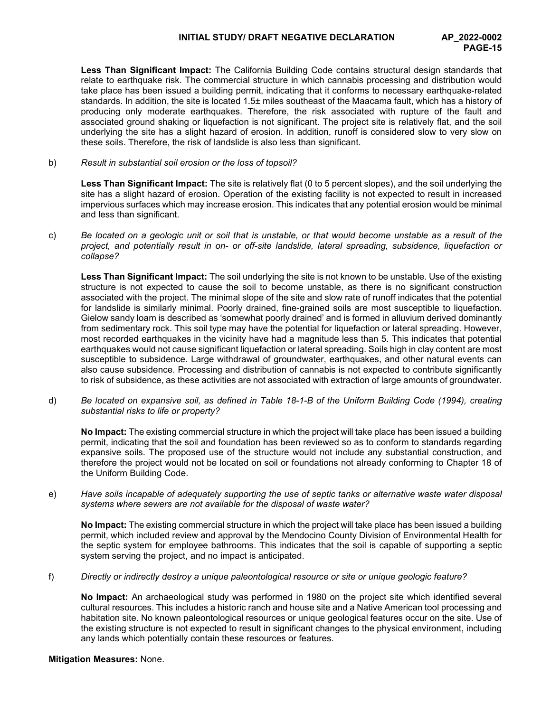**Less Than Significant Impact:** The California Building Code contains structural design standards that relate to earthquake risk. The commercial structure in which cannabis processing and distribution would take place has been issued a building permit, indicating that it conforms to necessary earthquake-related standards. In addition, the site is located 1.5± miles southeast of the Maacama fault, which has a history of producing only moderate earthquakes. Therefore, the risk associated with rupture of the fault and associated ground shaking or liquefaction is not significant. The project site is relatively flat, and the soil underlying the site has a slight hazard of erosion. In addition, runoff is considered slow to very slow on these soils. Therefore, the risk of landslide is also less than significant.

b) *Result in substantial soil erosion or the loss of topsoil?*

**Less Than Significant Impact:** The site is relatively flat (0 to 5 percent slopes), and the soil underlying the site has a slight hazard of erosion. Operation of the existing facility is not expected to result in increased impervious surfaces which may increase erosion. This indicates that any potential erosion would be minimal and less than significant.

c) *Be located on a geologic unit or soil that is unstable, or that would become unstable as a result of the project, and potentially result in on- or off-site landslide, lateral spreading, subsidence, liquefaction or collapse?*

**Less Than Significant Impact:** The soil underlying the site is not known to be unstable. Use of the existing structure is not expected to cause the soil to become unstable, as there is no significant construction associated with the project. The minimal slope of the site and slow rate of runoff indicates that the potential for landslide is similarly minimal. Poorly drained, fine-grained soils are most susceptible to liquefaction. Gielow sandy loam is described as 'somewhat poorly drained' and is formed in alluvium derived dominantly from sedimentary rock. This soil type may have the potential for liquefaction or lateral spreading. However, most recorded earthquakes in the vicinity have had a magnitude less than 5. This indicates that potential earthquakes would not cause significant liquefaction or lateral spreading. Soils high in clay content are most susceptible to subsidence. Large withdrawal of groundwater, earthquakes, and other natural events can also cause subsidence. Processing and distribution of cannabis is not expected to contribute significantly to risk of subsidence, as these activities are not associated with extraction of large amounts of groundwater.

d) *Be located on expansive soil, as defined in Table 18-1-B of the Uniform Building Code (1994), creating substantial risks to life or property?*

**No Impact:** The existing commercial structure in which the project will take place has been issued a building permit, indicating that the soil and foundation has been reviewed so as to conform to standards regarding expansive soils. The proposed use of the structure would not include any substantial construction, and therefore the project would not be located on soil or foundations not already conforming to Chapter 18 of the Uniform Building Code.

e) *Have soils incapable of adequately supporting the use of septic tanks or alternative waste water disposal systems where sewers are not available for the disposal of waste water?*

**No Impact:** The existing commercial structure in which the project will take place has been issued a building permit, which included review and approval by the Mendocino County Division of Environmental Health for the septic system for employee bathrooms. This indicates that the soil is capable of supporting a septic system serving the project, and no impact is anticipated.

f) *Directly or indirectly destroy a unique paleontological resource or site or unique geologic feature?*

**No Impact:** An archaeological study was performed in 1980 on the project site which identified several cultural resources. This includes a historic ranch and house site and a Native American tool processing and habitation site. No known paleontological resources or unique geological features occur on the site. Use of the existing structure is not expected to result in significant changes to the physical environment, including any lands which potentially contain these resources or features.

## **Mitigation Measures:** None.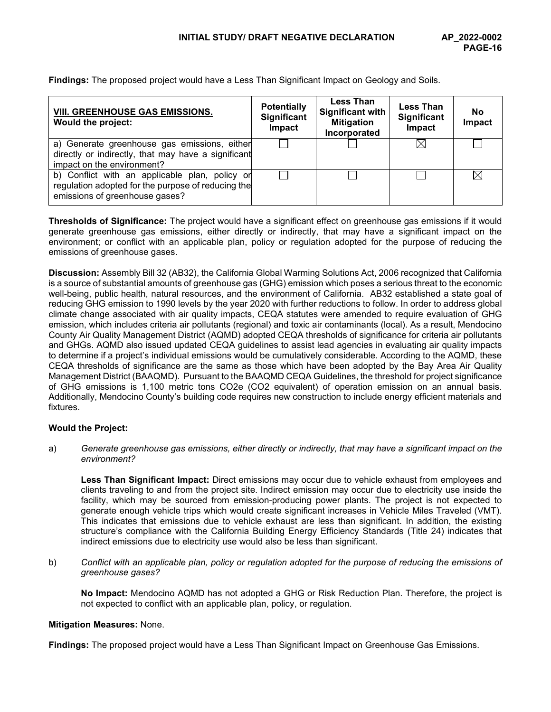| <b>VIII. GREENHOUSE GAS EMISSIONS.</b><br>Would the project:                                                                           | <b>Potentially</b><br><b>Significant</b><br>Impact | <b>Less Than</b><br><b>Significant with</b><br><b>Mitigation</b><br>Incorporated | <b>Less Than</b><br><b>Significant</b><br>Impact | No<br>Impact |
|----------------------------------------------------------------------------------------------------------------------------------------|----------------------------------------------------|----------------------------------------------------------------------------------|--------------------------------------------------|--------------|
| a) Generate greenhouse gas emissions, either<br>directly or indirectly, that may have a significant<br>impact on the environment?      |                                                    |                                                                                  |                                                  |              |
| b) Conflict with an applicable plan, policy or<br>regulation adopted for the purpose of reducing the<br>emissions of greenhouse gases? |                                                    |                                                                                  |                                                  |              |

**Findings:** The proposed project would have a Less Than Significant Impact on Geology and Soils.

**Thresholds of Significance:** The project would have a significant effect on greenhouse gas emissions if it would generate greenhouse gas emissions, either directly or indirectly, that may have a significant impact on the environment; or conflict with an applicable plan, policy or regulation adopted for the purpose of reducing the emissions of greenhouse gases.

**Discussion:** Assembly Bill 32 (AB32), the California Global Warming Solutions Act, 2006 recognized that California is a source of substantial amounts of greenhouse gas (GHG) emission which poses a serious threat to the economic well-being, public health, natural resources, and the environment of California. AB32 established a state goal of reducing GHG emission to 1990 levels by the year 2020 with further reductions to follow. In order to address global climate change associated with air quality impacts, CEQA statutes were amended to require evaluation of GHG emission, which includes criteria air pollutants (regional) and toxic air contaminants (local). As a result, Mendocino County Air Quality Management District (AQMD) adopted CEQA thresholds of significance for criteria air pollutants and GHGs. AQMD also issued updated CEQA guidelines to assist lead agencies in evaluating air quality impacts to determine if a project's individual emissions would be cumulatively considerable. According to the AQMD, these CEQA thresholds of significance are the same as those which have been adopted by the Bay Area Air Quality Management District (BAAQMD). Pursuant to the BAAQMD CEQA Guidelines, the threshold for project significance of GHG emissions is 1,100 metric tons CO2e (CO2 equivalent) of operation emission on an annual basis. Additionally, Mendocino County's building code requires new construction to include energy efficient materials and fixtures.

## **Would the Project:**

a) *Generate greenhouse gas emissions, either directly or indirectly, that may have a significant impact on the environment?*

**Less Than Significant Impact:** Direct emissions may occur due to vehicle exhaust from employees and clients traveling to and from the project site. Indirect emission may occur due to electricity use inside the facility, which may be sourced from emission-producing power plants. The project is not expected to generate enough vehicle trips which would create significant increases in Vehicle Miles Traveled (VMT). This indicates that emissions due to vehicle exhaust are less than significant. In addition, the existing structure's compliance with the California Building Energy Efficiency Standards (Title 24) indicates that indirect emissions due to electricity use would also be less than significant.

b) *Conflict with an applicable plan, policy or regulation adopted for the purpose of reducing the emissions of greenhouse gases?*

**No Impact:** Mendocino AQMD has not adopted a GHG or Risk Reduction Plan. Therefore, the project is not expected to conflict with an applicable plan, policy, or regulation.

## **Mitigation Measures:** None.

**Findings:** The proposed project would have a Less Than Significant Impact on Greenhouse Gas Emissions.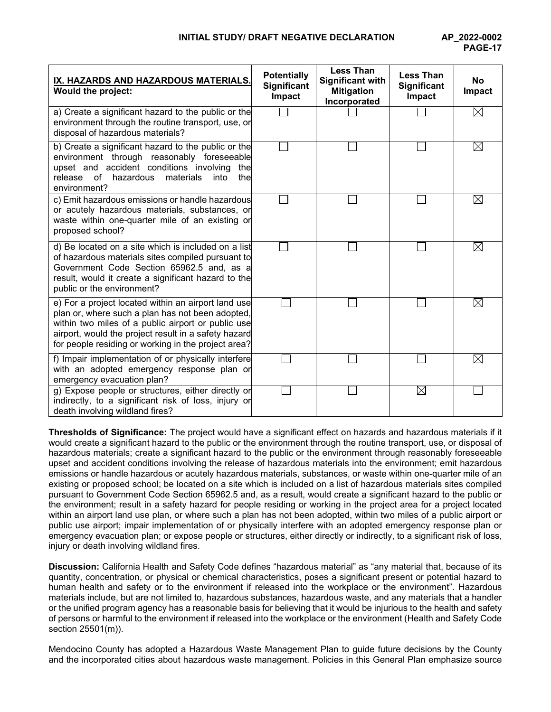| IX. HAZARDS AND HAZARDOUS MATERIALS.<br>Would the project:                                                                                                                                                                                                                   | <b>Potentially</b><br>Significant<br>Impact | <b>Less Than</b><br><b>Significant with</b><br><b>Mitigation</b><br>Incorporated | <b>Less Than</b><br>Significant<br>Impact | <b>No</b><br>Impact |
|------------------------------------------------------------------------------------------------------------------------------------------------------------------------------------------------------------------------------------------------------------------------------|---------------------------------------------|----------------------------------------------------------------------------------|-------------------------------------------|---------------------|
| a) Create a significant hazard to the public or the<br>environment through the routine transport, use, or<br>disposal of hazardous materials?                                                                                                                                |                                             |                                                                                  |                                           | ⊠                   |
| b) Create a significant hazard to the public or the<br>environment through reasonably foreseeable<br>upset and accident conditions involving<br>the<br>of<br>hazardous<br>materials<br>into<br>thel<br>release<br>environment?                                               |                                             |                                                                                  |                                           | ⊠                   |
| c) Emit hazardous emissions or handle hazardous<br>or acutely hazardous materials, substances, or<br>waste within one-quarter mile of an existing or<br>proposed school?                                                                                                     |                                             |                                                                                  |                                           | ⊠                   |
| d) Be located on a site which is included on a list<br>of hazardous materials sites compiled pursuant to<br>Government Code Section 65962.5 and, as a<br>result, would it create a significant hazard to the<br>public or the environment?                                   |                                             |                                                                                  |                                           | ⊠                   |
| e) For a project located within an airport land use<br>plan or, where such a plan has not been adopted,<br>within two miles of a public airport or public use<br>airport, would the project result in a safety hazard<br>for people residing or working in the project area? |                                             |                                                                                  |                                           | $\boxtimes$         |
| f) Impair implementation of or physically interfere<br>with an adopted emergency response plan or<br>emergency evacuation plan?                                                                                                                                              |                                             |                                                                                  |                                           | $\boxtimes$         |
| g) Expose people or structures, either directly or<br>indirectly, to a significant risk of loss, injury or<br>death involving wildland fires?                                                                                                                                |                                             |                                                                                  | ⊠                                         |                     |

**Thresholds of Significance:** The project would have a significant effect on hazards and hazardous materials if it would create a significant hazard to the public or the environment through the routine transport, use, or disposal of hazardous materials; create a significant hazard to the public or the environment through reasonably foreseeable upset and accident conditions involving the release of hazardous materials into the environment; emit hazardous emissions or handle hazardous or acutely hazardous materials, substances, or waste within one-quarter mile of an existing or proposed school; be located on a site which is included on a list of hazardous materials sites compiled pursuant to Government Code Section 65962.5 and, as a result, would create a significant hazard to the public or the environment; result in a safety hazard for people residing or working in the project area for a project located within an airport land use plan, or where such a plan has not been adopted, within two miles of a public airport or public use airport; impair implementation of or physically interfere with an adopted emergency response plan or emergency evacuation plan; or expose people or structures, either directly or indirectly, to a significant risk of loss, injury or death involving wildland fires.

**Discussion:** California Health and Safety Code defines "hazardous material" as "any material that, because of its quantity, concentration, or physical or chemical characteristics, poses a significant present or potential hazard to human health and safety or to the environment if released into the workplace or the environment". Hazardous materials include, but are not limited to, hazardous substances, hazardous waste, and any materials that a handler or the unified program agency has a reasonable basis for believing that it would be injurious to the health and safety of persons or harmful to the environment if released into the workplace or the environment (Health and Safety Code section 25501(m)).

Mendocino County has adopted a Hazardous Waste Management Plan to guide future decisions by the County and the incorporated cities about hazardous waste management. Policies in this General Plan emphasize source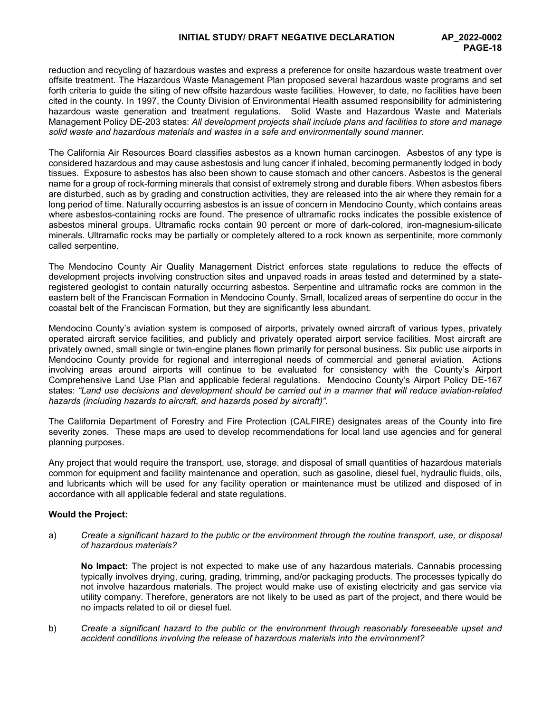reduction and recycling of hazardous wastes and express a preference for onsite hazardous waste treatment over offsite treatment. The Hazardous Waste Management Plan proposed several hazardous waste programs and set forth criteria to guide the siting of new offsite hazardous waste facilities. However, to date, no facilities have been cited in the county. In 1997, the County Division of Environmental Health assumed responsibility for administering hazardous waste generation and treatment regulations. Solid Waste and Hazardous Waste and Materials Management Policy DE-203 states: *All development projects shall include plans and facilities to store and manage solid waste and hazardous materials and wastes in a safe and environmentally sound manner.*

The California Air Resources Board classifies asbestos as a known human carcinogen. Asbestos of any type is considered hazardous and may cause asbestosis and lung cancer if inhaled, becoming permanently lodged in body tissues. Exposure to asbestos has also been shown to cause stomach and other cancers. Asbestos is the general name for a group of rock-forming minerals that consist of extremely strong and durable fibers. When asbestos fibers are disturbed, such as by grading and construction activities, they are released into the air where they remain for a long period of time. Naturally occurring asbestos is an issue of concern in Mendocino County, which contains areas where asbestos-containing rocks are found. The presence of ultramafic rocks indicates the possible existence of asbestos mineral groups. Ultramafic rocks contain 90 percent or more of dark-colored, iron-magnesium-silicate minerals. Ultramafic rocks may be partially or completely altered to a rock known as serpentinite, more commonly called serpentine.

The Mendocino County Air Quality Management District enforces state regulations to reduce the effects of development projects involving construction sites and unpaved roads in areas tested and determined by a stateregistered geologist to contain naturally occurring asbestos. Serpentine and ultramafic rocks are common in the eastern belt of the Franciscan Formation in Mendocino County. Small, localized areas of serpentine do occur in the coastal belt of the Franciscan Formation, but they are significantly less abundant.

Mendocino County's aviation system is composed of airports, privately owned aircraft of various types, privately operated aircraft service facilities, and publicly and privately operated airport service facilities. Most aircraft are privately owned, small single or twin-engine planes flown primarily for personal business. Six public use airports in Mendocino County provide for regional and interregional needs of commercial and general aviation. Actions involving areas around airports will continue to be evaluated for consistency with the County's Airport Comprehensive Land Use Plan and applicable federal regulations. Mendocino County's Airport Policy DE-167 states: *"Land use decisions and development should be carried out in a manner that will reduce aviation-related hazards (including hazards to aircraft, and hazards posed by aircraft)".* 

The California Department of Forestry and Fire Protection (CALFIRE) designates areas of the County into fire severity zones. These maps are used to develop recommendations for local land use agencies and for general planning purposes.

Any project that would require the transport, use, storage, and disposal of small quantities of hazardous materials common for equipment and facility maintenance and operation, such as gasoline, diesel fuel, hydraulic fluids, oils, and lubricants which will be used for any facility operation or maintenance must be utilized and disposed of in accordance with all applicable federal and state regulations.

## **Would the Project:**

a) *Create a significant hazard to the public or the environment through the routine transport, use, or disposal of hazardous materials?*

**No Impact:** The project is not expected to make use of any hazardous materials. Cannabis processing typically involves drying, curing, grading, trimming, and/or packaging products. The processes typically do not involve hazardous materials. The project would make use of existing electricity and gas service via utility company. Therefore, generators are not likely to be used as part of the project, and there would be no impacts related to oil or diesel fuel.

b) *Create a significant hazard to the public or the environment through reasonably foreseeable upset and accident conditions involving the release of hazardous materials into the environment?*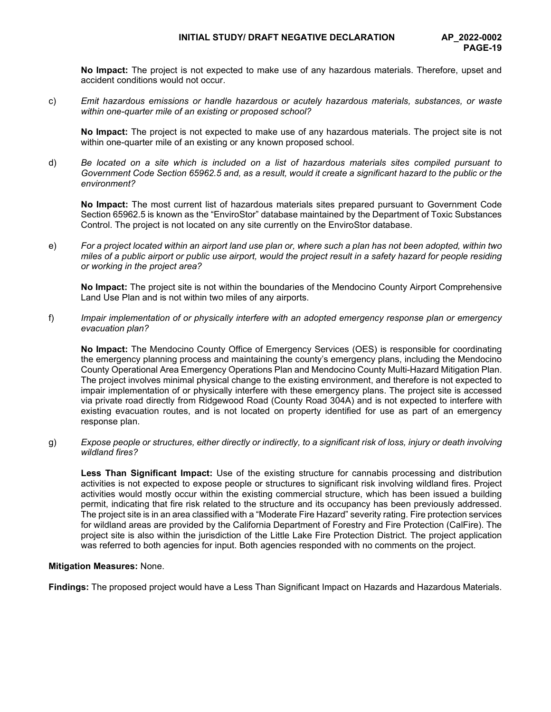**No Impact:** The project is not expected to make use of any hazardous materials. Therefore, upset and accident conditions would not occur.

c) *Emit hazardous emissions or handle hazardous or acutely hazardous materials, substances, or waste within one-quarter mile of an existing or proposed school?*

**No Impact:** The project is not expected to make use of any hazardous materials. The project site is not within one-quarter mile of an existing or any known proposed school.

d) *Be located on a site which is included on a list of hazardous materials sites compiled pursuant to Government Code Section 65962.5 and, as a result, would it create a significant hazard to the public or the environment?*

**No Impact:** The most current list of hazardous materials sites prepared pursuant to Government Code Section 65962.5 is known as the "EnviroStor" database maintained by the Department of Toxic Substances Control. The project is not located on any site currently on the EnviroStor database.

e) *For a project located within an airport land use plan or, where such a plan has not been adopted, within two miles of a public airport or public use airport, would the project result in a safety hazard for people residing or working in the project area?*

**No Impact:** The project site is not within the boundaries of the Mendocino County Airport Comprehensive Land Use Plan and is not within two miles of any airports.

f) *Impair implementation of or physically interfere with an adopted emergency response plan or emergency evacuation plan?*

**No Impact:** The Mendocino County Office of Emergency Services (OES) is responsible for coordinating the emergency planning process and maintaining the county's emergency plans, including the Mendocino County Operational Area Emergency Operations Plan and Mendocino County Multi-Hazard Mitigation Plan. The project involves minimal physical change to the existing environment, and therefore is not expected to impair implementation of or physically interfere with these emergency plans. The project site is accessed via private road directly from Ridgewood Road (County Road 304A) and is not expected to interfere with existing evacuation routes, and is not located on property identified for use as part of an emergency response plan.

g) *Expose people or structures, either directly or indirectly, to a significant risk of loss, injury or death involving wildland fires?*

**Less Than Significant Impact:** Use of the existing structure for cannabis processing and distribution activities is not expected to expose people or structures to significant risk involving wildland fires. Project activities would mostly occur within the existing commercial structure, which has been issued a building permit, indicating that fire risk related to the structure and its occupancy has been previously addressed. The project site is in an area classified with a "Moderate Fire Hazard" severity rating. Fire protection services for wildland areas are provided by the California Department of Forestry and Fire Protection (CalFire). The project site is also within the jurisdiction of the Little Lake Fire Protection District. The project application was referred to both agencies for input. Both agencies responded with no comments on the project.

## **Mitigation Measures:** None.

**Findings:** The proposed project would have a Less Than Significant Impact on Hazards and Hazardous Materials.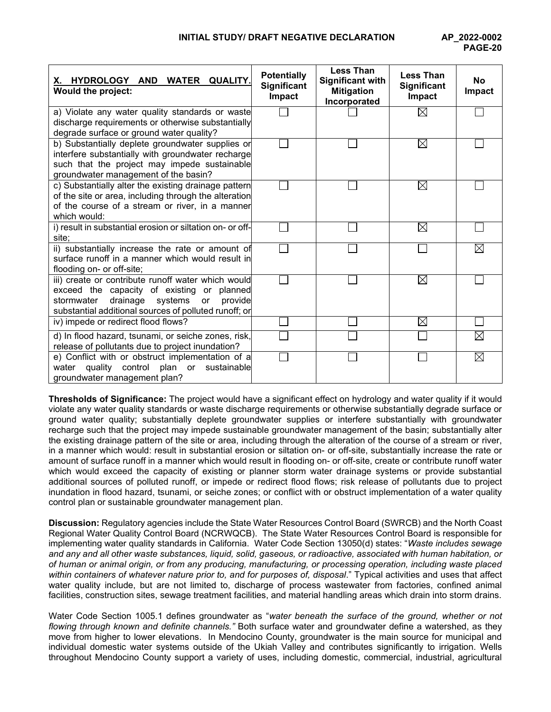| <b>WATER</b><br><b>QUALITY.</b><br>X. HYDROLOGY<br><b>AND</b><br><b>Would the project:</b>                                                                                                                             | <b>Potentially</b><br>Significant<br>Impact | <b>Less Than</b><br>Significant with<br><b>Mitigation</b><br>Incorporated | <b>Less Than</b><br><b>Significant</b><br>Impact | No<br>Impact |
|------------------------------------------------------------------------------------------------------------------------------------------------------------------------------------------------------------------------|---------------------------------------------|---------------------------------------------------------------------------|--------------------------------------------------|--------------|
| a) Violate any water quality standards or waste<br>discharge requirements or otherwise substantially<br>degrade surface or ground water quality?                                                                       |                                             |                                                                           | $\boxtimes$                                      |              |
| b) Substantially deplete groundwater supplies or<br>interfere substantially with groundwater recharge<br>such that the project may impede sustainable<br>groundwater management of the basin?                          |                                             |                                                                           | $\boxtimes$                                      |              |
| c) Substantially alter the existing drainage pattern<br>of the site or area, including through the alteration<br>of the course of a stream or river, in a manner<br>which would:                                       |                                             |                                                                           | $\boxtimes$                                      |              |
| i) result in substantial erosion or siltation on- or off-<br>site;                                                                                                                                                     |                                             |                                                                           | $\boxtimes$                                      |              |
| ii) substantially increase the rate or amount of<br>surface runoff in a manner which would result in<br>flooding on- or off-site;                                                                                      |                                             |                                                                           |                                                  | ⋉            |
| iii) create or contribute runoff water which would<br>exceed the capacity of existing or planned<br>drainage<br>systems<br>provide<br>stormwater<br><b>or</b><br>substantial additional sources of polluted runoff; or |                                             |                                                                           | $\boxtimes$                                      |              |
| iv) impede or redirect flood flows?                                                                                                                                                                                    |                                             |                                                                           | $\boxtimes$                                      |              |
| d) In flood hazard, tsunami, or seiche zones, risk,<br>release of pollutants due to project inundation?                                                                                                                |                                             |                                                                           |                                                  | $\boxtimes$  |
| e) Conflict with or obstruct implementation of a<br>water quality control plan or<br>sustainable<br>groundwater management plan?                                                                                       |                                             |                                                                           |                                                  | $\boxtimes$  |

**Thresholds of Significance:** The project would have a significant effect on hydrology and water quality if it would violate any water quality standards or waste discharge requirements or otherwise substantially degrade surface or ground water quality; substantially deplete groundwater supplies or interfere substantially with groundwater recharge such that the project may impede sustainable groundwater management of the basin; substantially alter the existing drainage pattern of the site or area, including through the alteration of the course of a stream or river, in a manner which would: result in substantial erosion or siltation on- or off-site, substantially increase the rate or amount of surface runoff in a manner which would result in flooding on- or off-site, create or contribute runoff water which would exceed the capacity of existing or planner storm water drainage systems or provide substantial additional sources of polluted runoff, or impede or redirect flood flows; risk release of pollutants due to project inundation in flood hazard, tsunami, or seiche zones; or conflict with or obstruct implementation of a water quality control plan or sustainable groundwater management plan.

**Discussion:** Regulatory agencies include the State Water Resources Control Board (SWRCB) and the North Coast Regional Water Quality Control Board (NCRWQCB). The State Water Resources Control Board is responsible for implementing water quality standards in California. Water Code Section 13050(d) states: "*Waste includes sewage and any and all other waste substances, liquid, solid, gaseous, or radioactive, associated with human habitation, or of human or animal origin, or from any producing, manufacturing, or processing operation, including waste placed within containers of whatever nature prior to, and for purposes of, disposal*." Typical activities and uses that affect water quality include, but are not limited to, discharge of process wastewater from factories, confined animal facilities, construction sites, sewage treatment facilities, and material handling areas which drain into storm drains.

Water Code Section 1005.1 defines groundwater as "*water beneath the surface of the ground, whether or not flowing through known and definite channels."* Both surface water and groundwater define a watershed, as they move from higher to lower elevations. In Mendocino County, groundwater is the main source for municipal and individual domestic water systems outside of the Ukiah Valley and contributes significantly to irrigation. Wells throughout Mendocino County support a variety of uses, including domestic, commercial, industrial, agricultural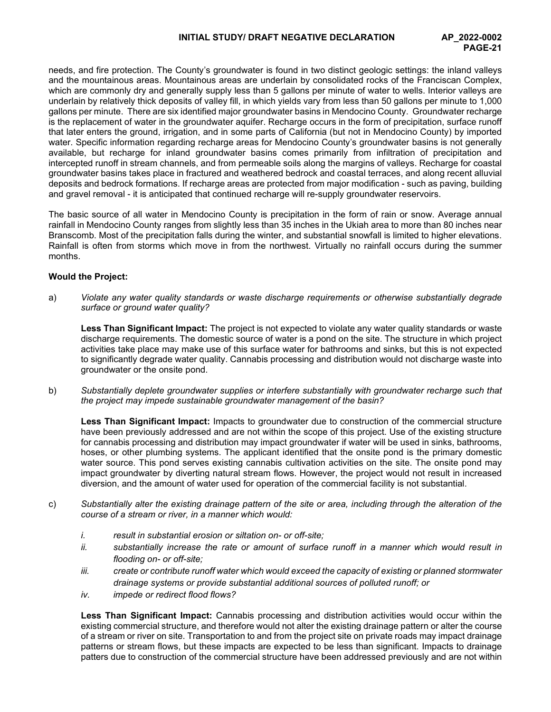needs, and fire protection. The County's groundwater is found in two distinct geologic settings: the inland valleys and the mountainous areas. Mountainous areas are underlain by consolidated rocks of the Franciscan Complex, which are commonly dry and generally supply less than 5 gallons per minute of water to wells. Interior valleys are underlain by relatively thick deposits of valley fill, in which yields vary from less than 50 gallons per minute to 1,000 gallons per minute. There are six identified major groundwater basins in Mendocino County. Groundwater recharge is the replacement of water in the groundwater aquifer. Recharge occurs in the form of precipitation, surface runoff that later enters the ground, irrigation, and in some parts of California (but not in Mendocino County) by imported water. Specific information regarding recharge areas for Mendocino County's groundwater basins is not generally available, but recharge for inland groundwater basins comes primarily from infiltration of precipitation and intercepted runoff in stream channels, and from permeable soils along the margins of valleys. Recharge for coastal groundwater basins takes place in fractured and weathered bedrock and coastal terraces, and along recent alluvial deposits and bedrock formations. If recharge areas are protected from major modification - such as paving, building and gravel removal - it is anticipated that continued recharge will re-supply groundwater reservoirs.

The basic source of all water in Mendocino County is precipitation in the form of rain or snow. Average annual rainfall in Mendocino County ranges from slightly less than 35 inches in the Ukiah area to more than 80 inches near Branscomb. Most of the precipitation falls during the winter, and substantial snowfall is limited to higher elevations. Rainfall is often from storms which move in from the northwest. Virtually no rainfall occurs during the summer months.

## **Would the Project:**

a) *Violate any water quality standards or waste discharge requirements or otherwise substantially degrade surface or ground water quality?*

**Less Than Significant Impact:** The project is not expected to violate any water quality standards or waste discharge requirements. The domestic source of water is a pond on the site. The structure in which project activities take place may make use of this surface water for bathrooms and sinks, but this is not expected to significantly degrade water quality. Cannabis processing and distribution would not discharge waste into groundwater or the onsite pond.

b) *Substantially deplete groundwater supplies or interfere substantially with groundwater recharge such that the project may impede sustainable groundwater management of the basin?*

**Less Than Significant Impact:** Impacts to groundwater due to construction of the commercial structure have been previously addressed and are not within the scope of this project. Use of the existing structure for cannabis processing and distribution may impact groundwater if water will be used in sinks, bathrooms, hoses, or other plumbing systems. The applicant identified that the onsite pond is the primary domestic water source. This pond serves existing cannabis cultivation activities on the site. The onsite pond may impact groundwater by diverting natural stream flows. However, the project would not result in increased diversion, and the amount of water used for operation of the commercial facility is not substantial.

- c) *Substantially alter the existing drainage pattern of the site or area, including through the alteration of the course of a stream or river, in a manner which would:* 
	- *i. result in substantial erosion or siltation on- or off-site;*
	- *ii. substantially increase the rate or amount of surface runoff in a manner which would result in flooding on- or off-site;*
	- *iii. create or contribute runoff water which would exceed the capacity of existing or planned stormwater drainage systems or provide substantial additional sources of polluted runoff; or*
	- *iv. impede or redirect flood flows?*

**Less Than Significant Impact:** Cannabis processing and distribution activities would occur within the existing commercial structure, and therefore would not alter the existing drainage pattern or alter the course of a stream or river on site. Transportation to and from the project site on private roads may impact drainage patterns or stream flows, but these impacts are expected to be less than significant. Impacts to drainage patters due to construction of the commercial structure have been addressed previously and are not within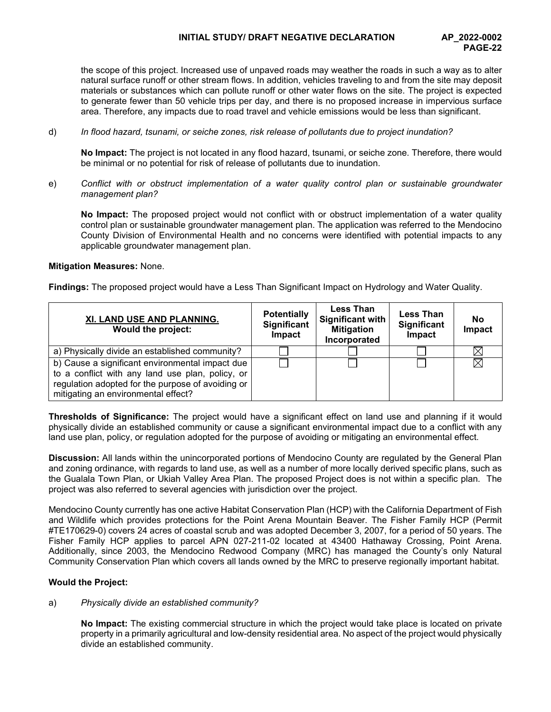# **INITIAL STUDY/ DRAFT NEGATIVE DECLARATION AP\_2022-0002**

the scope of this project. Increased use of unpaved roads may weather the roads in such a way as to alter natural surface runoff or other stream flows. In addition, vehicles traveling to and from the site may deposit materials or substances which can pollute runoff or other water flows on the site. The project is expected to generate fewer than 50 vehicle trips per day, and there is no proposed increase in impervious surface area. Therefore, any impacts due to road travel and vehicle emissions would be less than significant.

d) *In flood hazard, tsunami, or seiche zones, risk release of pollutants due to project inundation?*

**No Impact:** The project is not located in any flood hazard, tsunami, or seiche zone. Therefore, there would be minimal or no potential for risk of release of pollutants due to inundation.

e) *Conflict with or obstruct implementation of a water quality control plan or sustainable groundwater management plan?*

**No Impact:** The proposed project would not conflict with or obstruct implementation of a water quality control plan or sustainable groundwater management plan. The application was referred to the Mendocino County Division of Environmental Health and no concerns were identified with potential impacts to any applicable groundwater management plan.

#### **Mitigation Measures:** None.

**Findings:** The proposed project would have a Less Than Significant Impact on Hydrology and Water Quality.

| XI. LAND USE AND PLANNING.<br>Would the project:  | <b>Potentially</b><br>Significant<br>Impact | <b>Less Than</b><br>Significant with<br><b>Mitigation</b><br>Incorporated | <b>Less Than</b><br>Significant<br>Impact | No<br>Impact |
|---------------------------------------------------|---------------------------------------------|---------------------------------------------------------------------------|-------------------------------------------|--------------|
| a) Physically divide an established community?    |                                             |                                                                           |                                           |              |
| b) Cause a significant environmental impact due   |                                             |                                                                           |                                           |              |
| to a conflict with any land use plan, policy, or  |                                             |                                                                           |                                           |              |
| regulation adopted for the purpose of avoiding or |                                             |                                                                           |                                           |              |
| mitigating an environmental effect?               |                                             |                                                                           |                                           |              |

**Thresholds of Significance:** The project would have a significant effect on land use and planning if it would physically divide an established community or cause a significant environmental impact due to a conflict with any land use plan, policy, or regulation adopted for the purpose of avoiding or mitigating an environmental effect.

**Discussion:** All lands within the unincorporated portions of Mendocino County are regulated by the General Plan and zoning ordinance, with regards to land use, as well as a number of more locally derived specific plans, such as the Gualala Town Plan, or Ukiah Valley Area Plan. The proposed Project does is not within a specific plan. The project was also referred to several agencies with jurisdiction over the project.

Mendocino County currently has one active Habitat Conservation Plan (HCP) with the California Department of Fish and Wildlife which provides protections for the Point Arena Mountain Beaver*.* The Fisher Family HCP (Permit #TE170629-0) covers 24 acres of coastal scrub and was adopted December 3, 2007, for a period of 50 years. The Fisher Family HCP applies to parcel APN 027-211-02 located at 43400 Hathaway Crossing, Point Arena. Additionally, since 2003, the Mendocino Redwood Company (MRC) has managed the County's only Natural Community Conservation Plan which covers all lands owned by the MRC to preserve regionally important habitat.

## **Would the Project:**

## a) *Physically divide an established community?*

**No Impact:** The existing commercial structure in which the project would take place is located on private property in a primarily agricultural and low-density residential area. No aspect of the project would physically divide an established community.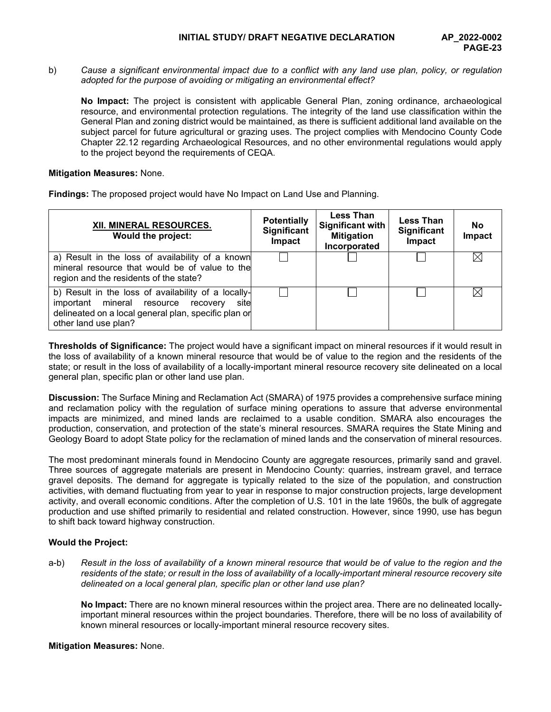b) *Cause a significant environmental impact due to a conflict with any land use plan, policy, or regulation adopted for the purpose of avoiding or mitigating an environmental effect?*

**No Impact:** The project is consistent with applicable General Plan, zoning ordinance, archaeological resource, and environmental protection regulations. The integrity of the land use classification within the General Plan and zoning district would be maintained, as there is sufficient additional land available on the subject parcel for future agricultural or grazing uses. The project complies with Mendocino County Code Chapter 22.12 regarding Archaeological Resources, and no other environmental regulations would apply to the project beyond the requirements of CEQA.

## **Mitigation Measures:** None.

**Findings:** The proposed project would have No Impact on Land Use and Planning.

| XII. MINERAL RESOURCES.<br>Would the project:                                                                                                                                      | <b>Potentially</b><br><b>Significant</b><br>Impact | <b>Less Than</b><br><b>Significant with</b><br><b>Mitigation</b><br>Incorporated | <b>Less Than</b><br>Significant<br>Impact | <b>No</b><br><b>Impact</b> |
|------------------------------------------------------------------------------------------------------------------------------------------------------------------------------------|----------------------------------------------------|----------------------------------------------------------------------------------|-------------------------------------------|----------------------------|
| a) Result in the loss of availability of a known<br>mineral resource that would be of value to the<br>region and the residents of the state?                                       |                                                    |                                                                                  |                                           |                            |
| b) Result in the loss of availability of a locally-<br>important mineral resource recovery<br>site<br>delineated on a local general plan, specific plan or<br>other land use plan? |                                                    |                                                                                  |                                           |                            |

**Thresholds of Significance:** The project would have a significant impact on mineral resources if it would result in the loss of availability of a known mineral resource that would be of value to the region and the residents of the state; or result in the loss of availability of a locally-important mineral resource recovery site delineated on a local general plan, specific plan or other land use plan.

**Discussion:** The Surface Mining and Reclamation Act (SMARA) of 1975 provides a comprehensive surface mining and reclamation policy with the regulation of surface mining operations to assure that adverse environmental impacts are minimized, and mined lands are reclaimed to a usable condition. SMARA also encourages the production, conservation, and protection of the state's mineral resources. SMARA requires the State Mining and Geology Board to adopt State policy for the reclamation of mined lands and the conservation of mineral resources.

The most predominant minerals found in Mendocino County are aggregate resources, primarily sand and gravel. Three sources of aggregate materials are present in Mendocino County: quarries, instream gravel, and terrace gravel deposits. The demand for aggregate is typically related to the size of the population, and construction activities, with demand fluctuating from year to year in response to major construction projects, large development activity, and overall economic conditions. After the completion of U.S. 101 in the late 1960s, the bulk of aggregate production and use shifted primarily to residential and related construction. However, since 1990, use has begun to shift back toward highway construction.

## **Would the Project:**

a-b) Result in the loss of availability of a known mineral resource that would be of value to the region and the *residents of the state; or result in the loss of availability of a locally-important mineral resource recovery site delineated on a local general plan, specific plan or other land use plan?*

**No Impact:** There are no known mineral resources within the project area. There are no delineated locallyimportant mineral resources within the project boundaries. Therefore, there will be no loss of availability of known mineral resources or locally-important mineral resource recovery sites.

**Mitigation Measures:** None.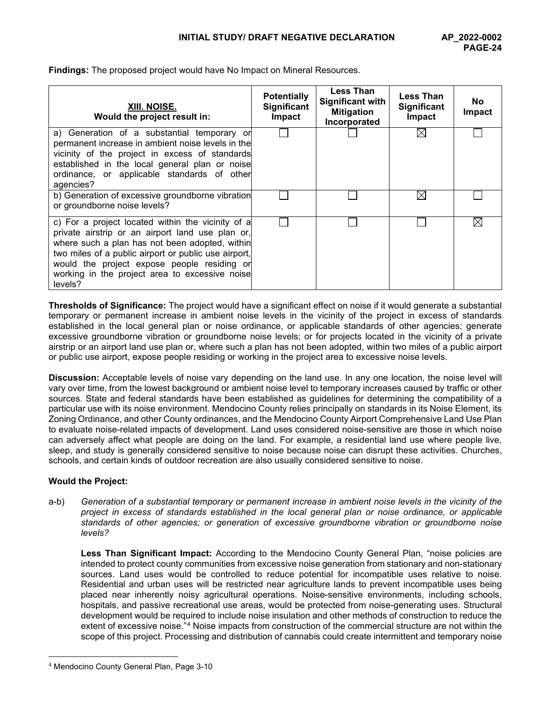**Findings:** The proposed project would have No Impact on Mineral Resources.

| XIII. NOISE.<br>Would the project result in:                                                                                                                                                                                                                                                                                | <b>Potentially</b><br><b>Significant</b><br>Impact | <b>Less Than</b><br>Significant with<br><b>Mitigation</b><br>Incorporated | <b>Less Than</b><br><b>Significant</b><br>Impact | <b>No</b><br><b>Impact</b> |
|-----------------------------------------------------------------------------------------------------------------------------------------------------------------------------------------------------------------------------------------------------------------------------------------------------------------------------|----------------------------------------------------|---------------------------------------------------------------------------|--------------------------------------------------|----------------------------|
| a) Generation of a substantial temporary or<br>permanent increase in ambient noise levels in the<br>vicinity of the project in excess of standards<br>established in the local general plan or noise<br>ordinance, or applicable standards of other<br>agencies?                                                            |                                                    |                                                                           |                                                  |                            |
| b) Generation of excessive groundborne vibration<br>or groundborne noise levels?                                                                                                                                                                                                                                            |                                                    |                                                                           | $\bowtie$                                        |                            |
| c) For a project located within the vicinity of a<br>private airstrip or an airport land use plan or,<br>where such a plan has not been adopted, within<br>two miles of a public airport or public use airport,<br>would the project expose people residing or<br>working in the project area to excessive noise<br>levels? |                                                    |                                                                           |                                                  | IX                         |

**Thresholds of Significance:** The project would have a significant effect on noise if it would generate a substantial temporary or permanent increase in ambient noise levels in the vicinity of the project in excess of standards established in the local general plan or noise ordinance, or applicable standards of other agencies; generate excessive groundborne vibration or groundborne noise levels; or for projects located in the vicinity of a private airstrip or an airport land use plan or, where such a plan has not been adopted, within two miles of a public airport or public use airport, expose people residing or working in the project area to excessive noise levels.

**Discussion:** Acceptable levels of noise vary depending on the land use. In any one location, the noise level will vary over time, from the lowest background or ambient noise level to temporary increases caused by traffic or other sources. State and federal standards have been established as guidelines for determining the compatibility of a particular use with its noise environment. Mendocino County relies principally on standards in its Noise Element, its Zoning Ordinance, and other County ordinances, and the Mendocino County Airport Comprehensive Land Use Plan to evaluate noise-related impacts of development. Land uses considered noise-sensitive are those in which noise can adversely affect what people are doing on the land. For example, a residential land use where people live, sleep, and study is generally considered sensitive to noise because noise can disrupt these activities. Churches, schools, and certain kinds of outdoor recreation are also usually considered sensitive to noise.

## **Would the Project:**

a-b) *Generation of a substantial temporary or permanent increase in ambient noise levels in the vicinity of the project in excess of standards established in the local general plan or noise ordinance, or applicable standards of other agencies; or generation of excessive groundborne vibration or groundborne noise levels?*

**Less Than Significant Impact:** According to the Mendocino County General Plan, "noise policies are intended to protect county communities from excessive noise generation from stationary and non-stationary sources. Land uses would be controlled to reduce potential for incompatible uses relative to noise. Residential and urban uses will be restricted near agriculture lands to prevent incompatible uses being placed near inherently noisy agricultural operations. Noise-sensitive environments, including schools, hospitals, and passive recreational use areas, would be protected from noise-generating uses. Structural development would be required to include noise insulation and other methods of construction to reduce the extent of excessive noise."<sup>[4](#page-23-0)</sup> Noise impacts from construction of the commercial structure are not within the scope of this project. Processing and distribution of cannabis could create intermittent and temporary noise

<span id="page-23-0"></span><sup>4</sup> Mendocino County General Plan, Page 3-10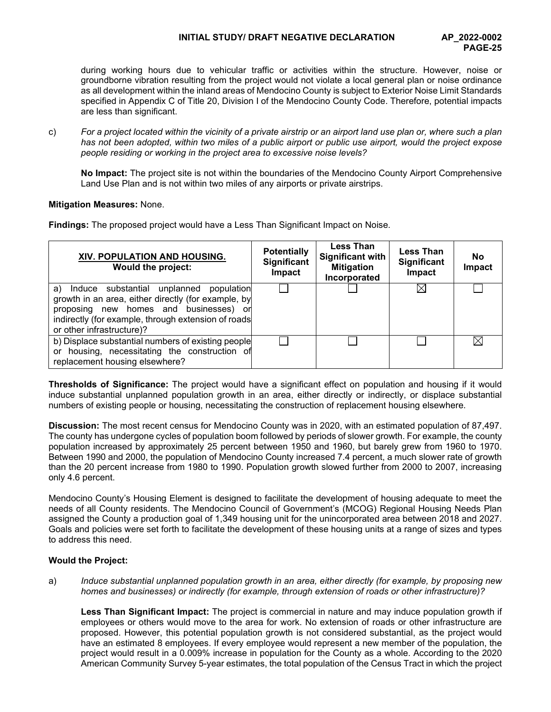# **INITIAL STUDY/ DRAFT NEGATIVE DECLARATION AP\_2022-0002**

during working hours due to vehicular traffic or activities within the structure. However, noise or groundborne vibration resulting from the project would not violate a local general plan or noise ordinance as all development within the inland areas of Mendocino County is subject to Exterior Noise Limit Standards specified in Appendix C of Title 20, Division I of the Mendocino County Code. Therefore, potential impacts are less than significant.

c) *For a project located within the vicinity of a private airstrip or an airport land use plan or, where such a plan has not been adopted, within two miles of a public airport or public use airport, would the project expose people residing or working in the project area to excessive noise levels?*

**No Impact:** The project site is not within the boundaries of the Mendocino County Airport Comprehensive Land Use Plan and is not within two miles of any airports or private airstrips.

## **Mitigation Measures:** None.

**Findings:** The proposed project would have a Less Than Significant Impact on Noise.

| XIV. POPULATION AND HOUSING.<br>Would the project:                                                                                                                                                                              | <b>Potentially</b><br><b>Significant</b><br>Impact | <b>Less Than</b><br>Significant with<br><b>Mitigation</b><br>Incorporated | <b>Less Than</b><br><b>Significant</b><br>Impact | <b>No</b><br>Impact |
|---------------------------------------------------------------------------------------------------------------------------------------------------------------------------------------------------------------------------------|----------------------------------------------------|---------------------------------------------------------------------------|--------------------------------------------------|---------------------|
| a) Induce substantial unplanned population<br>growth in an area, either directly (for example, by<br>proposing new homes and businesses) or<br>indirectly (for example, through extension of roads<br>or other infrastructure)? |                                                    |                                                                           | $\bowtie$                                        |                     |
| b) Displace substantial numbers of existing people<br>or housing, necessitating the construction of<br>replacement housing elsewhere?                                                                                           |                                                    |                                                                           |                                                  |                     |

**Thresholds of Significance:** The project would have a significant effect on population and housing if it would induce substantial unplanned population growth in an area, either directly or indirectly, or displace substantial numbers of existing people or housing, necessitating the construction of replacement housing elsewhere.

**Discussion:** The most recent census for Mendocino County was in 2020, with an estimated population of 87,497. The county has undergone cycles of population boom followed by periods of slower growth. For example, the county population increased by approximately 25 percent between 1950 and 1960, but barely grew from 1960 to 1970. Between 1990 and 2000, the population of Mendocino County increased 7.4 percent, a much slower rate of growth than the 20 percent increase from 1980 to 1990. Population growth slowed further from 2000 to 2007, increasing only 4.6 percent.

Mendocino County's Housing Element is designed to facilitate the development of housing adequate to meet the needs of all County residents. The Mendocino Council of Government's (MCOG) Regional Housing Needs Plan assigned the County a production goal of 1,349 housing unit for the unincorporated area between 2018 and 2027. Goals and policies were set forth to facilitate the development of these housing units at a range of sizes and types to address this need.

## **Would the Project:**

a) *Induce substantial unplanned population growth in an area, either directly (for example, by proposing new homes and businesses) or indirectly (for example, through extension of roads or other infrastructure)?*

**Less Than Significant Impact:** The project is commercial in nature and may induce population growth if employees or others would move to the area for work. No extension of roads or other infrastructure are proposed. However, this potential population growth is not considered substantial, as the project would have an estimated 8 employees. If every employee would represent a new member of the population, the project would result in a 0.009% increase in population for the County as a whole. According to the 2020 American Community Survey 5-year estimates, the total population of the Census Tract in which the project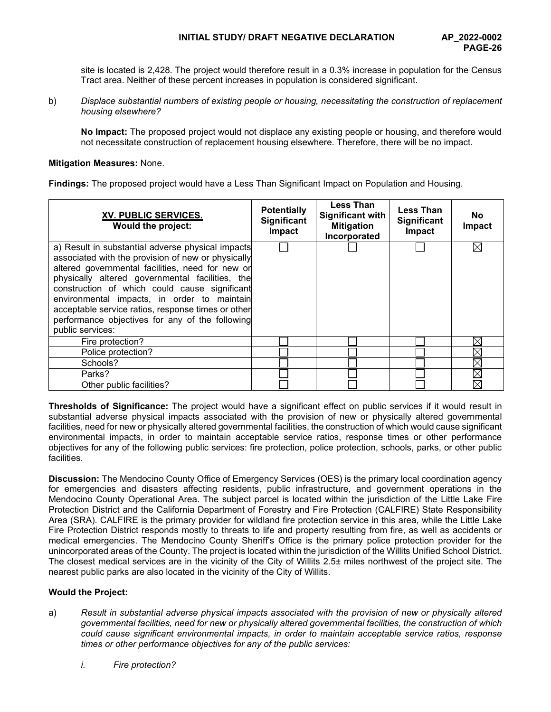site is located is 2,428. The project would therefore result in a 0.3% increase in population for the Census Tract area. Neither of these percent increases in population is considered significant.

b) *Displace substantial numbers of existing people or housing, necessitating the construction of replacement housing elsewhere?*

**No Impact:** The proposed project would not displace any existing people or housing, and therefore would not necessitate construction of replacement housing elsewhere. Therefore, there will be no impact.

#### **Mitigation Measures:** None.

**Findings:** The proposed project would have a Less Than Significant Impact on Population and Housing.

| XV. PUBLIC SERVICES.<br>Would the project:                                                                                                                                                                                                                                                                                                                                                                                                  | <b>Potentially</b><br>Significant<br>Impact | <b>Less Than</b><br><b>Significant with</b><br><b>Mitigation</b><br>Incorporated | <b>Less Than</b><br><b>Significant</b><br>Impact | <b>No</b><br>Impact |
|---------------------------------------------------------------------------------------------------------------------------------------------------------------------------------------------------------------------------------------------------------------------------------------------------------------------------------------------------------------------------------------------------------------------------------------------|---------------------------------------------|----------------------------------------------------------------------------------|--------------------------------------------------|---------------------|
| a) Result in substantial adverse physical impacts<br>associated with the provision of new or physically<br>altered governmental facilities, need for new or<br>physically altered governmental facilities, the<br>construction of which could cause significant<br>environmental impacts, in order to maintain<br>acceptable service ratios, response times or other<br>performance objectives for any of the following<br>public services: |                                             |                                                                                  |                                                  | ⊠                   |
| Fire protection?                                                                                                                                                                                                                                                                                                                                                                                                                            |                                             |                                                                                  |                                                  | X                   |
| Police protection?                                                                                                                                                                                                                                                                                                                                                                                                                          |                                             |                                                                                  |                                                  |                     |
| Schools?                                                                                                                                                                                                                                                                                                                                                                                                                                    |                                             |                                                                                  |                                                  | $\times$            |
| Parks?                                                                                                                                                                                                                                                                                                                                                                                                                                      |                                             |                                                                                  |                                                  | $\boxtimes$         |
| Other public facilities?                                                                                                                                                                                                                                                                                                                                                                                                                    |                                             |                                                                                  |                                                  | $\boxtimes$         |

**Thresholds of Significance:** The project would have a significant effect on public services if it would result in substantial adverse physical impacts associated with the provision of new or physically altered governmental facilities, need for new or physically altered governmental facilities, the construction of which would cause significant environmental impacts, in order to maintain acceptable service ratios, response times or other performance objectives for any of the following public services: fire protection, police protection, schools, parks, or other public facilities.

**Discussion:** The Mendocino County Office of Emergency Services (OES) is the primary local coordination agency for emergencies and disasters affecting residents, public infrastructure, and government operations in the Mendocino County Operational Area. The subject parcel is located within the jurisdiction of the Little Lake Fire Protection District and the California Department of Forestry and Fire Protection (CALFIRE) State Responsibility Area (SRA). CALFIRE is the primary provider for wildland fire protection service in this area, while the Little Lake Fire Protection District responds mostly to threats to life and property resulting from fire, as well as accidents or medical emergencies. The Mendocino County Sheriff's Office is the primary police protection provider for the unincorporated areas of the County. The project is located within the jurisdiction of the Willits Unified School District. The closest medical services are in the vicinity of the City of Willits 2.5± miles northwest of the project site. The nearest public parks are also located in the vicinity of the City of Willits.

## **Would the Project:**

- a) *Result in substantial adverse physical impacts associated with the provision of new or physically altered governmental facilities, need for new or physically altered governmental facilities, the construction of which could cause significant environmental impacts, in order to maintain acceptable service ratios, response times or other performance objectives for any of the public services:*
	- *i. Fire protection?*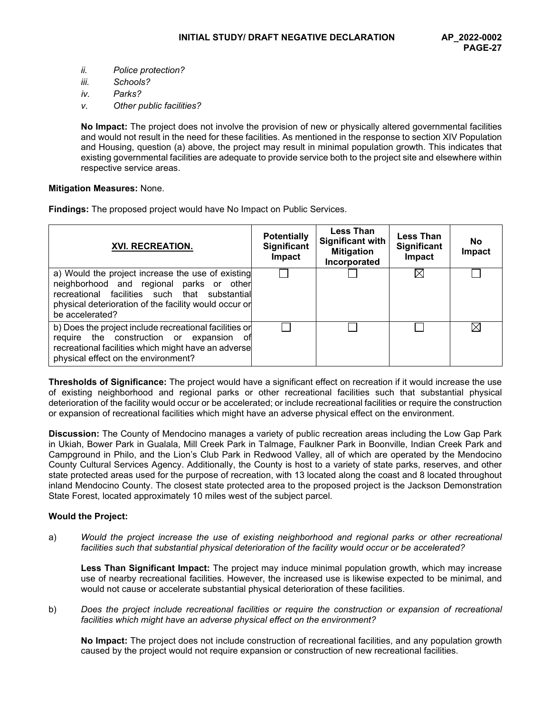- *ii. Police protection?*
- *iii. Schools?*
- *iv. Parks?*
- *v. Other public facilities?*

**No Impact:** The project does not involve the provision of new or physically altered governmental facilities and would not result in the need for these facilities. As mentioned in the response to section XIV Population and Housing, question (a) above, the project may result in minimal population growth. This indicates that existing governmental facilities are adequate to provide service both to the project site and elsewhere within respective service areas.

## **Mitigation Measures:** None.

**Findings:** The proposed project would have No Impact on Public Services.

| XVI. RECREATION.                                                                                                                                                                                                           | <b>Potentially</b><br>Significant<br>Impact | <b>Less Than</b><br><b>Significant with</b><br><b>Mitigation</b><br>Incorporated | <b>Less Than</b><br>Significant<br>Impact | No.<br>Impact |
|----------------------------------------------------------------------------------------------------------------------------------------------------------------------------------------------------------------------------|---------------------------------------------|----------------------------------------------------------------------------------|-------------------------------------------|---------------|
| a) Would the project increase the use of existing<br>neighborhood and regional parks or other<br>recreational facilities such that substantial<br>physical deterioration of the facility would occur or<br>be accelerated? |                                             |                                                                                  | IX                                        |               |
| b) Does the project include recreational facilities or<br>require the construction or expansion of<br>recreational facilities which might have an adverse<br>physical effect on the environment?                           |                                             |                                                                                  |                                           | M             |

**Thresholds of Significance:** The project would have a significant effect on recreation if it would increase the use of existing neighborhood and regional parks or other recreational facilities such that substantial physical deterioration of the facility would occur or be accelerated; or include recreational facilities or require the construction or expansion of recreational facilities which might have an adverse physical effect on the environment.

**Discussion:** The County of Mendocino manages a variety of public recreation areas including the Low Gap Park in Ukiah, Bower Park in Gualala, Mill Creek Park in Talmage, Faulkner Park in Boonville, Indian Creek Park and Campground in Philo, and the Lion's Club Park in Redwood Valley, all of which are operated by the Mendocino County Cultural Services Agency. Additionally, the County is host to a variety of state parks, reserves, and other state protected areas used for the purpose of recreation, with 13 located along the coast and 8 located throughout inland Mendocino County. The closest state protected area to the proposed project is the Jackson Demonstration State Forest, located approximately 10 miles west of the subject parcel.

## **Would the Project:**

a) *Would the project increase the use of existing neighborhood and regional parks or other recreational facilities such that substantial physical deterioration of the facility would occur or be accelerated?*

**Less Than Significant Impact:** The project may induce minimal population growth, which may increase use of nearby recreational facilities. However, the increased use is likewise expected to be minimal, and would not cause or accelerate substantial physical deterioration of these facilities.

b) *Does the project include recreational facilities or require the construction or expansion of recreational facilities which might have an adverse physical effect on the environment?*

**No Impact:** The project does not include construction of recreational facilities, and any population growth caused by the project would not require expansion or construction of new recreational facilities.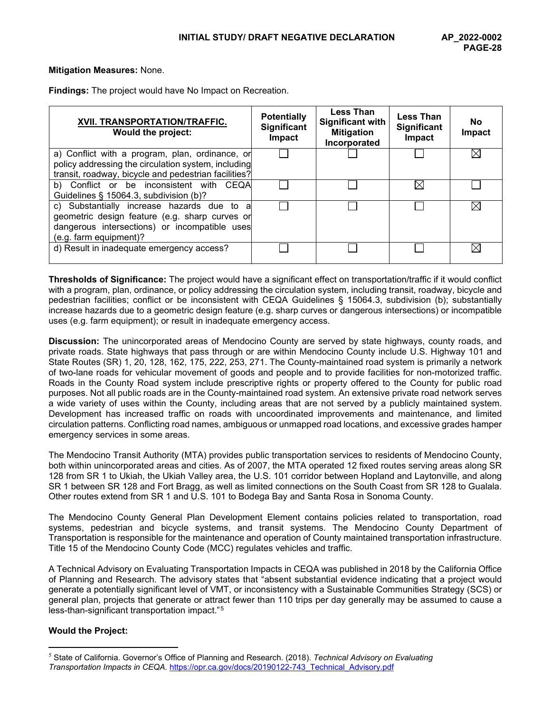## **Mitigation Measures:** None.

**Findings:** The project would have No Impact on Recreation.

| XVII. TRANSPORTATION/TRAFFIC.<br><b>Would the project:</b>                                                                                                              | <b>Potentially</b><br>Significant<br>Impact | <b>Less Than</b><br><b>Significant with</b><br><b>Mitigation</b><br>Incorporated | <b>Less Than</b><br>Significant<br>Impact | <b>No</b><br>Impact |
|-------------------------------------------------------------------------------------------------------------------------------------------------------------------------|---------------------------------------------|----------------------------------------------------------------------------------|-------------------------------------------|---------------------|
| a) Conflict with a program, plan, ordinance, or<br>policy addressing the circulation system, including<br>transit, roadway, bicycle and pedestrian facilities?          |                                             |                                                                                  |                                           | ⋉                   |
| b) Conflict or be inconsistent with CEQA<br>Guidelines § 15064.3, subdivision (b)?                                                                                      |                                             |                                                                                  | M                                         |                     |
| c) Substantially increase hazards due to a<br>geometric design feature (e.g. sharp curves or<br>dangerous intersections) or incompatible uses<br>(e.g. farm equipment)? |                                             |                                                                                  |                                           | IX                  |
| d) Result in inadequate emergency access?                                                                                                                               |                                             |                                                                                  |                                           | ⋉                   |

**Thresholds of Significance:** The project would have a significant effect on transportation/traffic if it would conflict with a program, plan, ordinance, or policy addressing the circulation system, including transit, roadway, bicycle and pedestrian facilities; conflict or be inconsistent with CEQA Guidelines § 15064.3, subdivision (b); substantially increase hazards due to a geometric design feature (e.g. sharp curves or dangerous intersections) or incompatible uses (e.g. farm equipment); or result in inadequate emergency access.

**Discussion:** The unincorporated areas of Mendocino County are served by state highways, county roads, and private roads. State highways that pass through or are within Mendocino County include U.S. Highway 101 and State Routes (SR) 1, 20, 128, 162, 175, 222, 253, 271. The County-maintained road system is primarily a network of two-lane roads for vehicular movement of goods and people and to provide facilities for non-motorized traffic. Roads in the County Road system include prescriptive rights or property offered to the County for public road purposes. Not all public roads are in the County-maintained road system. An extensive private road network serves a wide variety of uses within the County, including areas that are not served by a publicly maintained system. Development has increased traffic on roads with uncoordinated improvements and maintenance, and limited circulation patterns. Conflicting road names, ambiguous or unmapped road locations, and excessive grades hamper emergency services in some areas.

The Mendocino Transit Authority (MTA) provides public transportation services to residents of Mendocino County, both within unincorporated areas and cities. As of 2007, the MTA operated 12 fixed routes serving areas along SR 128 from SR 1 to Ukiah, the Ukiah Valley area, the U.S. 101 corridor between Hopland and Laytonville, and along SR 1 between SR 128 and Fort Bragg, as well as limited connections on the South Coast from SR 128 to Gualala. Other routes extend from SR 1 and U.S. 101 to Bodega Bay and Santa Rosa in Sonoma County.

The Mendocino County General Plan Development Element contains policies related to transportation, road systems, pedestrian and bicycle systems, and transit systems. The Mendocino County Department of Transportation is responsible for the maintenance and operation of County maintained transportation infrastructure. Title 15 of the Mendocino County Code (MCC) regulates vehicles and traffic.

A Technical Advisory on Evaluating Transportation Impacts in CEQA was published in 2018 by the California Office of Planning and Research. The advisory states that "absent substantial evidence indicating that a project would generate a potentially significant level of VMT, or inconsistency with a Sustainable Communities Strategy (SCS) or general plan, projects that generate or attract fewer than 110 trips per day generally may be assumed to cause a less-than-significant transportation impact."[5](#page-27-0)

# **Would the Project:**

<span id="page-27-0"></span><sup>5</sup> State of California. Governor's Office of Planning and Research. (2018). *Technical Advisory on Evaluating Transportation Impacts in CEQA.* [https://opr.ca.gov/docs/20190122-743\\_Technical\\_Advisory.pdf](https://opr.ca.gov/docs/20190122-743_Technical_Advisory.pdf)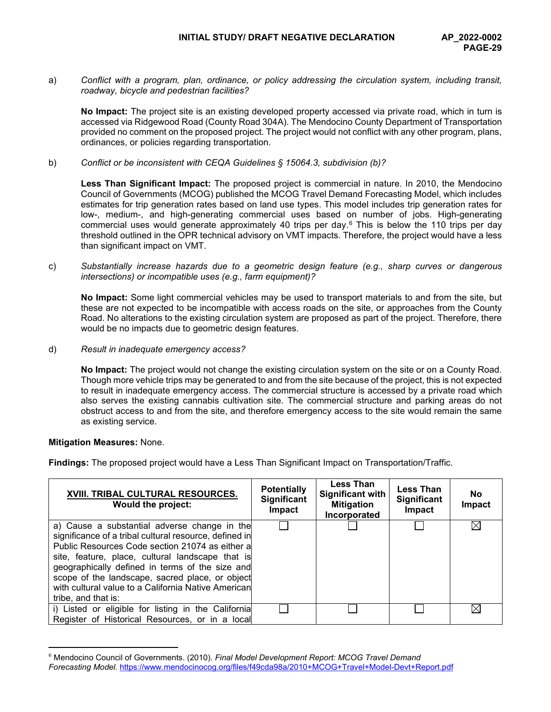a) *Conflict with a program, plan, ordinance, or policy addressing the circulation system, including transit, roadway, bicycle and pedestrian facilities?*

**No Impact:** The project site is an existing developed property accessed via private road, which in turn is accessed via Ridgewood Road (County Road 304A). The Mendocino County Department of Transportation provided no comment on the proposed project. The project would not conflict with any other program, plans, ordinances, or policies regarding transportation.

b) *Conflict or be inconsistent with CEQA Guidelines § 15064.3, subdivision (b)?*

**Less Than Significant Impact:** The proposed project is commercial in nature. In 2010, the Mendocino Council of Governments (MCOG) published the MCOG Travel Demand Forecasting Model, which includes estimates for trip generation rates based on land use types. This model includes trip generation rates for low-, medium-, and high-generating commercial uses based on number of jobs. High-generating commercial uses would generate approximately 40 trips per day. $6$  This is below the 110 trips per day threshold outlined in the OPR technical advisory on VMT impacts. Therefore, the project would have a less than significant impact on VMT.

c) *Substantially increase hazards due to a geometric design feature (e.g., sharp curves or dangerous intersections) or incompatible uses (e.g., farm equipment)?*

**No Impact:** Some light commercial vehicles may be used to transport materials to and from the site, but these are not expected to be incompatible with access roads on the site, or approaches from the County Road. No alterations to the existing circulation system are proposed as part of the project. Therefore, there would be no impacts due to geometric design features.

d) *Result in inadequate emergency access?*

**No Impact:** The project would not change the existing circulation system on the site or on a County Road. Though more vehicle trips may be generated to and from the site because of the project, this is not expected to result in inadequate emergency access. The commercial structure is accessed by a private road which also serves the existing cannabis cultivation site. The commercial structure and parking areas do not obstruct access to and from the site, and therefore emergency access to the site would remain the same as existing service.

## **Mitigation Measures:** None.

**Findings:** The proposed project would have a Less Than Significant Impact on Transportation/Traffic.

| XVIII. TRIBAL CULTURAL RESOURCES.<br><b>Would the project:</b>                                                                                                                                                                                                                                                                                                                                    | <b>Potentially</b><br><b>Significant</b><br>Impact | <b>Less Than</b><br><b>Significant with</b><br><b>Mitigation</b><br>Incorporated | <b>Less Than</b><br><b>Significant</b><br>Impact | <b>No</b><br>Impact |
|---------------------------------------------------------------------------------------------------------------------------------------------------------------------------------------------------------------------------------------------------------------------------------------------------------------------------------------------------------------------------------------------------|----------------------------------------------------|----------------------------------------------------------------------------------|--------------------------------------------------|---------------------|
| a) Cause a substantial adverse change in the<br>significance of a tribal cultural resource, defined in<br>Public Resources Code section 21074 as either a<br>site, feature, place, cultural landscape that is<br>geographically defined in terms of the size and<br>scope of the landscape, sacred place, or object<br>with cultural value to a California Native American<br>tribe, and that is: |                                                    |                                                                                  |                                                  | IX                  |
| i) Listed or eligible for listing in the California<br>Register of Historical Resources, or in a local                                                                                                                                                                                                                                                                                            |                                                    |                                                                                  |                                                  | M                   |

<span id="page-28-0"></span><sup>6</sup> Mendocino Council of Governments. (2010). *Final Model Development Report: MCOG Travel Demand Forecasting Model.* <https://www.mendocinocog.org/files/f49cda98a/2010+MCOG+Travel+Model-Devt+Report.pdf>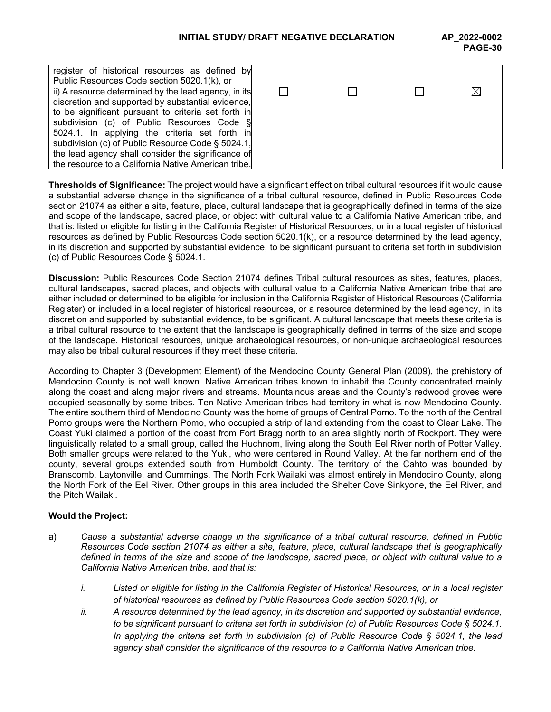# **INITIAL STUDY/ DRAFT NEGATIVE DECLARATION AP\_2022-0002**

| register of historical resources as defined by       |  |  |
|------------------------------------------------------|--|--|
| Public Resources Code section 5020.1(k), or          |  |  |
| ii) A resource determined by the lead agency, in its |  |  |
| discretion and supported by substantial evidence,    |  |  |
| to be significant pursuant to criteria set forth in  |  |  |
| subdivision (c) of Public Resources Code §           |  |  |
| 5024.1. In applying the criteria set forth in        |  |  |
| subdivision (c) of Public Resource Code § 5024.1,    |  |  |
| the lead agency shall consider the significance of   |  |  |
| the resource to a California Native American tribe.  |  |  |
|                                                      |  |  |

**Thresholds of Significance:** The project would have a significant effect on tribal cultural resources if it would cause a substantial adverse change in the significance of a tribal cultural resource, defined in Public Resources Code section 21074 as either a site, feature, place, cultural landscape that is geographically defined in terms of the size and scope of the landscape, sacred place, or object with cultural value to a California Native American tribe, and that is: listed or eligible for listing in the California Register of Historical Resources, or in a local register of historical resources as defined by Public Resources Code section 5020.1(k), or a resource determined by the lead agency, in its discretion and supported by substantial evidence, to be significant pursuant to criteria set forth in subdivision (c) of Public Resources Code § 5024.1.

**Discussion:** Public Resources Code Section 21074 defines Tribal cultural resources as sites, features, places, cultural landscapes, sacred places, and objects with cultural value to a California Native American tribe that are either included or determined to be eligible for inclusion in the California Register of Historical Resources (California Register) or included in a local register of historical resources, or a resource determined by the lead agency, in its discretion and supported by substantial evidence, to be significant. A cultural landscape that meets these criteria is a tribal cultural resource to the extent that the landscape is geographically defined in terms of the size and scope of the landscape. Historical resources, unique archaeological resources, or non-unique archaeological resources may also be tribal cultural resources if they meet these criteria.

According to Chapter 3 (Development Element) of the Mendocino County General Plan (2009), the prehistory of Mendocino County is not well known. Native American tribes known to inhabit the County concentrated mainly along the coast and along major rivers and streams. Mountainous areas and the County's redwood groves were occupied seasonally by some tribes. Ten Native American tribes had territory in what is now Mendocino County. The entire southern third of Mendocino County was the home of groups of Central Pomo. To the north of the Central Pomo groups were the Northern Pomo, who occupied a strip of land extending from the coast to Clear Lake. The Coast Yuki claimed a portion of the coast from Fort Bragg north to an area slightly north of Rockport. They were linguistically related to a small group, called the Huchnom, living along the South Eel River north of Potter Valley. Both smaller groups were related to the Yuki, who were centered in Round Valley. At the far northern end of the county, several groups extended south from Humboldt County. The territory of the Cahto was bounded by Branscomb, Laytonville, and Cummings. The North Fork Wailaki was almost entirely in Mendocino County, along the North Fork of the Eel River. Other groups in this area included the Shelter Cove Sinkyone, the Eel River, and the Pitch Wailaki.

## **Would the Project:**

- a) *Cause a substantial adverse change in the significance of a tribal cultural resource, defined in Public Resources Code section 21074 as either a site, feature, place, cultural landscape that is geographically defined in terms of the size and scope of the landscape, sacred place, or object with cultural value to a California Native American tribe, and that is:*
	- *i. Listed or eligible for listing in the California Register of Historical Resources, or in a local register of historical resources as defined by Public Resources Code section 5020.1(k), or*
	- *ii. A resource determined by the lead agency, in its discretion and supported by substantial evidence, to be significant pursuant to criteria set forth in subdivision (c) of Public Resources Code § 5024.1. In applying the criteria set forth in subdivision (c) of Public Resource Code § 5024.1, the lead agency shall consider the significance of the resource to a California Native American tribe.*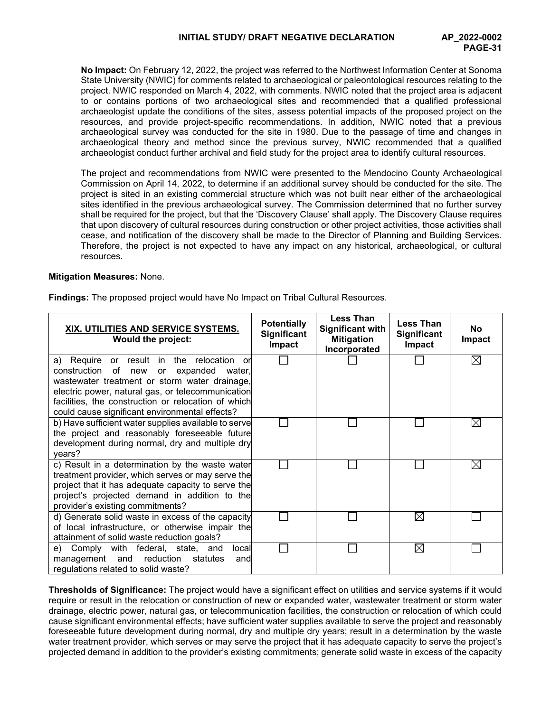**No Impact:** On February 12, 2022, the project was referred to the Northwest Information Center at Sonoma State University (NWIC) for comments related to archaeological or paleontological resources relating to the project. NWIC responded on March 4, 2022, with comments. NWIC noted that the project area is adjacent to or contains portions of two archaeological sites and recommended that a qualified professional archaeologist update the conditions of the sites, assess potential impacts of the proposed project on the resources, and provide project-specific recommendations. In addition, NWIC noted that a previous archaeological survey was conducted for the site in 1980. Due to the passage of time and changes in archaeological theory and method since the previous survey, NWIC recommended that a qualified archaeologist conduct further archival and field study for the project area to identify cultural resources.

The project and recommendations from NWIC were presented to the Mendocino County Archaeological Commission on April 14, 2022, to determine if an additional survey should be conducted for the site. The project is sited in an existing commercial structure which was not built near either of the archaeological sites identified in the previous archaeological survey. The Commission determined that no further survey shall be required for the project, but that the 'Discovery Clause' shall apply. The Discovery Clause requires that upon discovery of cultural resources during construction or other project activities, those activities shall cease, and notification of the discovery shall be made to the Director of Planning and Building Services. Therefore, the project is not expected to have any impact on any historical, archaeological, or cultural resources.

# **Mitigation Measures:** None.

**Findings:** The proposed project would have No Impact on Tribal Cultural Resources.

| XIX. UTILITIES AND SERVICE SYSTEMS.<br><b>Would the project:</b>                                                                                                                                                                                                                                                  | <b>Potentially</b><br><b>Significant</b><br><b>Impact</b> | <b>Less Than</b><br><b>Significant with</b><br><b>Mitigation</b><br>Incorporated | <b>Less Than</b><br><b>Significant</b><br>Impact | No<br>Impact |
|-------------------------------------------------------------------------------------------------------------------------------------------------------------------------------------------------------------------------------------------------------------------------------------------------------------------|-----------------------------------------------------------|----------------------------------------------------------------------------------|--------------------------------------------------|--------------|
| a) Require or result in the relocation<br>or<br>construction<br>of<br>expanded water,<br>new<br>or<br>wastewater treatment or storm water drainage,<br>electric power, natural gas, or telecommunication<br>facilities, the construction or relocation of which<br>could cause significant environmental effects? |                                                           |                                                                                  |                                                  | $\boxtimes$  |
| b) Have sufficient water supplies available to serve<br>the project and reasonably foreseeable future<br>development during normal, dry and multiple dry<br>years?                                                                                                                                                |                                                           |                                                                                  |                                                  | M            |
| c) Result in a determination by the waste water<br>treatment provider, which serves or may serve the<br>project that it has adequate capacity to serve the<br>project's projected demand in addition to the<br>provider's existing commitments?                                                                   |                                                           |                                                                                  |                                                  | $\boxtimes$  |
| d) Generate solid waste in excess of the capacity<br>of local infrastructure, or otherwise impair the<br>attainment of solid waste reduction goals?                                                                                                                                                               |                                                           |                                                                                  | ⊠                                                |              |
| e) Comply with federal, state, and<br>local<br>management and<br>reduction<br>statutes<br>and<br>regulations related to solid waste?                                                                                                                                                                              |                                                           |                                                                                  | $\boxtimes$                                      |              |

**Thresholds of Significance:** The project would have a significant effect on utilities and service systems if it would require or result in the relocation or construction of new or expanded water, wastewater treatment or storm water drainage, electric power, natural gas, or telecommunication facilities, the construction or relocation of which could cause significant environmental effects; have sufficient water supplies available to serve the project and reasonably foreseeable future development during normal, dry and multiple dry years; result in a determination by the waste water treatment provider, which serves or may serve the project that it has adequate capacity to serve the project's projected demand in addition to the provider's existing commitments; generate solid waste in excess of the capacity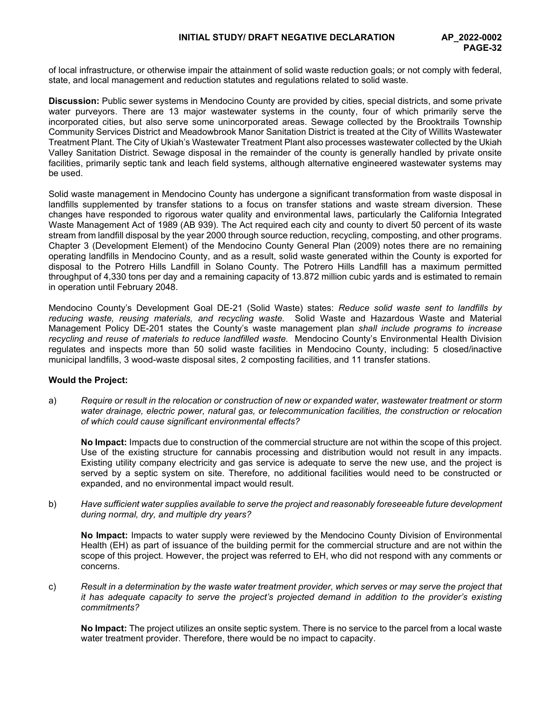of local infrastructure, or otherwise impair the attainment of solid waste reduction goals; or not comply with federal, state, and local management and reduction statutes and regulations related to solid waste.

**Discussion:** Public sewer systems in Mendocino County are provided by cities, special districts, and some private water purveyors. There are 13 major wastewater systems in the county, four of which primarily serve the incorporated cities, but also serve some unincorporated areas. Sewage collected by the Brooktrails Township Community Services District and Meadowbrook Manor Sanitation District is treated at the City of Willits Wastewater Treatment Plant. The City of Ukiah's Wastewater Treatment Plant also processes wastewater collected by the Ukiah Valley Sanitation District. Sewage disposal in the remainder of the county is generally handled by private onsite facilities, primarily septic tank and leach field systems, although alternative engineered wastewater systems may be used.

Solid waste management in Mendocino County has undergone a significant transformation from waste disposal in landfills supplemented by transfer stations to a focus on transfer stations and waste stream diversion. These changes have responded to rigorous water quality and environmental laws, particularly the California Integrated Waste Management Act of 1989 (AB 939). The Act required each city and county to divert 50 percent of its waste stream from landfill disposal by the year 2000 through source reduction, recycling, composting, and other programs. Chapter 3 (Development Element) of the Mendocino County General Plan (2009) notes there are no remaining operating landfills in Mendocino County, and as a result, solid waste generated within the County is exported for disposal to the Potrero Hills Landfill in Solano County. The Potrero Hills Landfill has a maximum permitted throughput of 4,330 tons per day and a remaining capacity of 13.872 million cubic yards and is estimated to remain in operation until February 2048.

Mendocino County's Development Goal DE-21 (Solid Waste) states: *Reduce solid waste sent to landfills by reducing waste, reusing materials, and recycling waste.* Solid Waste and Hazardous Waste and Material Management Policy DE-201 states the County's waste management plan *shall include programs to increase recycling and reuse of materials to reduce landfilled waste.* Mendocino County's Environmental Health Division regulates and inspects more than 50 solid waste facilities in Mendocino County, including: 5 closed/inactive municipal landfills, 3 wood-waste disposal sites, 2 composting facilities, and 11 transfer stations.

# **Would the Project:**

a) *Require or result in the relocation or construction of new or expanded water, wastewater treatment or storm water drainage, electric power, natural gas, or telecommunication facilities, the construction or relocation of which could cause significant environmental effects?*

**No Impact:** Impacts due to construction of the commercial structure are not within the scope of this project. Use of the existing structure for cannabis processing and distribution would not result in any impacts. Existing utility company electricity and gas service is adequate to serve the new use, and the project is served by a septic system on site. Therefore, no additional facilities would need to be constructed or expanded, and no environmental impact would result.

b) *Have sufficient water supplies available to serve the project and reasonably foreseeable future development during normal, dry, and multiple dry years?*

**No Impact:** Impacts to water supply were reviewed by the Mendocino County Division of Environmental Health (EH) as part of issuance of the building permit for the commercial structure and are not within the scope of this project. However, the project was referred to EH, who did not respond with any comments or concerns.

c) *Result in a determination by the waste water treatment provider, which serves or may serve the project that it has adequate capacity to serve the project's projected demand in addition to the provider's existing commitments?*

**No Impact:** The project utilizes an onsite septic system. There is no service to the parcel from a local waste water treatment provider. Therefore, there would be no impact to capacity.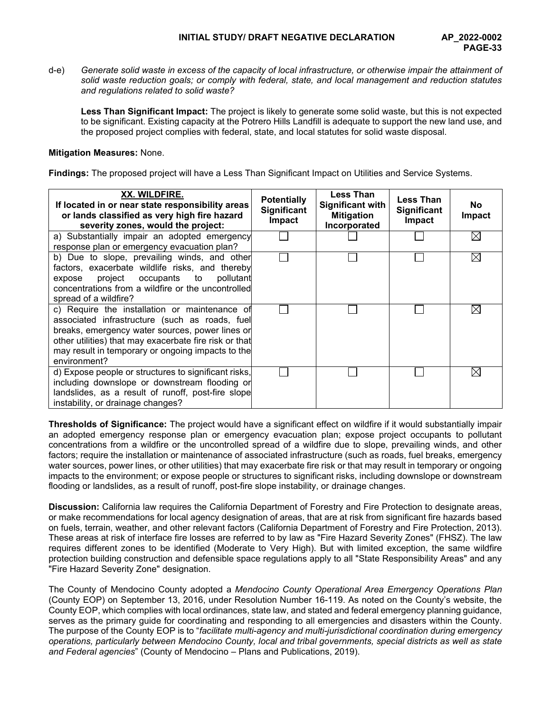d-e) *Generate solid waste in excess of the capacity of local infrastructure, or otherwise impair the attainment of solid waste reduction goals; or comply with federal, state, and local management and reduction statutes and regulations related to solid waste?*

**Less Than Significant Impact:** The project is likely to generate some solid waste, but this is not expected to be significant. Existing capacity at the Potrero Hills Landfill is adequate to support the new land use, and the proposed project complies with federal, state, and local statutes for solid waste disposal.

## **Mitigation Measures:** None.

**Findings:** The proposed project will have a Less Than Significant Impact on Utilities and Service Systems.

| XX. WILDFIRE.<br>If located in or near state responsibility areas<br>or lands classified as very high fire hazard<br>severity zones, would the project:                                                                                                                           | <b>Potentially</b><br><b>Significant</b><br><b>Impact</b> | <b>Less Than</b><br>Significant with<br><b>Mitigation</b><br>Incorporated | <b>Less Than</b><br><b>Significant</b><br><b>Impact</b> | <b>No</b><br>Impact |
|-----------------------------------------------------------------------------------------------------------------------------------------------------------------------------------------------------------------------------------------------------------------------------------|-----------------------------------------------------------|---------------------------------------------------------------------------|---------------------------------------------------------|---------------------|
| a) Substantially impair an adopted emergency<br>response plan or emergency evacuation plan?                                                                                                                                                                                       |                                                           |                                                                           |                                                         | $\boxtimes$         |
| b) Due to slope, prevailing winds, and other<br>factors, exacerbate wildlife risks, and thereby<br>project occupants to pollutant<br>expose<br>concentrations from a wildfire or the uncontrolled<br>spread of a wildfire?                                                        |                                                           |                                                                           |                                                         | $\boxtimes$         |
| c) Require the installation or maintenance of<br>associated infrastructure (such as roads, fuel<br>breaks, emergency water sources, power lines or<br>other utilities) that may exacerbate fire risk or that<br>may result in temporary or ongoing impacts to the<br>environment? |                                                           |                                                                           |                                                         | ⋉                   |
| d) Expose people or structures to significant risks,<br>including downslope or downstream flooding or<br>landslides, as a result of runoff, post-fire slope<br>instability, or drainage changes?                                                                                  |                                                           |                                                                           |                                                         | $\bowtie$           |

**Thresholds of Significance:** The project would have a significant effect on wildfire if it would substantially impair an adopted emergency response plan or emergency evacuation plan; expose project occupants to pollutant concentrations from a wildfire or the uncontrolled spread of a wildfire due to slope, prevailing winds, and other factors; require the installation or maintenance of associated infrastructure (such as roads, fuel breaks, emergency water sources, power lines, or other utilities) that may exacerbate fire risk or that may result in temporary or ongoing impacts to the environment; or expose people or structures to significant risks, including downslope or downstream flooding or landslides, as a result of runoff, post-fire slope instability, or drainage changes.

**Discussion:** California law requires the California Department of Forestry and Fire Protection to designate areas, or make recommendations for local agency designation of areas, that are at risk from significant fire hazards based on fuels, terrain, weather, and other relevant factors (California Department of Forestry and Fire Protection, 2013). These areas at risk of interface fire losses are referred to by law as "Fire Hazard Severity Zones" (FHSZ). The law requires different zones to be identified (Moderate to Very High). But with limited exception, the same wildfire protection building construction and defensible space regulations apply to all "State Responsibility Areas" and any "Fire Hazard Severity Zone" designation.

The County of Mendocino County adopted a *Mendocino County Operational Area Emergency Operations Plan* (County EOP) on September 13, 2016, under Resolution Number 16-119. As noted on the County's website, the County EOP, which complies with local ordinances, state law, and stated and federal emergency planning guidance, serves as the primary guide for coordinating and responding to all emergencies and disasters within the County. The purpose of the County EOP is to "*facilitate multi-agency and multi-jurisdictional coordination during emergency operations, particularly between Mendocino County, local and tribal governments, special districts as well as state and Federal agencies*" (County of Mendocino – Plans and Publications, 2019).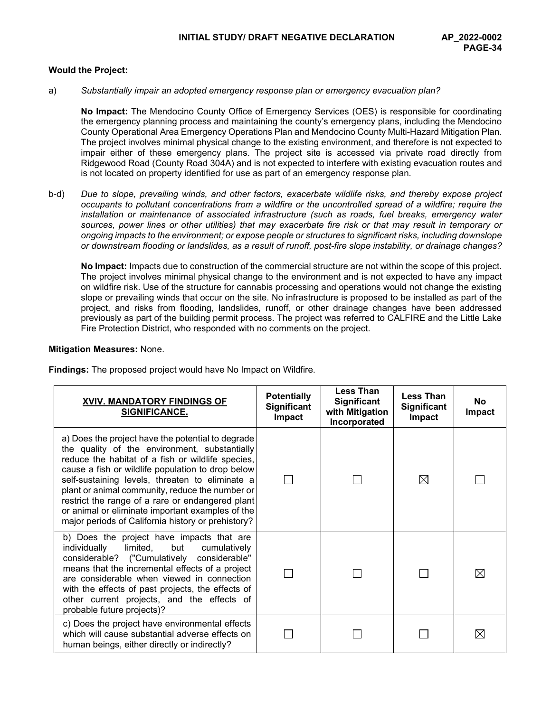## **Would the Project:**

a) *Substantially impair an adopted emergency response plan or emergency evacuation plan?*

**No Impact:** The Mendocino County Office of Emergency Services (OES) is responsible for coordinating the emergency planning process and maintaining the county's emergency plans, including the Mendocino County Operational Area Emergency Operations Plan and Mendocino County Multi-Hazard Mitigation Plan. The project involves minimal physical change to the existing environment, and therefore is not expected to impair either of these emergency plans. The project site is accessed via private road directly from Ridgewood Road (County Road 304A) and is not expected to interfere with existing evacuation routes and is not located on property identified for use as part of an emergency response plan.

b-d) *Due to slope, prevailing winds, and other factors, exacerbate wildlife risks, and thereby expose project occupants to pollutant concentrations from a wildfire or the uncontrolled spread of a wildfire; require the installation or maintenance of associated infrastructure (such as roads, fuel breaks, emergency water sources, power lines or other utilities) that may exacerbate fire risk or that may result in temporary or ongoing impacts to the environment; or expose people or structures to significant risks, including downslope or downstream flooding or landslides, as a result of runoff, post-fire slope instability, or drainage changes?*

**No Impact:** Impacts due to construction of the commercial structure are not within the scope of this project. The project involves minimal physical change to the environment and is not expected to have any impact on wildfire risk. Use of the structure for cannabis processing and operations would not change the existing slope or prevailing winds that occur on the site. No infrastructure is proposed to be installed as part of the project, and risks from flooding, landslides, runoff, or other drainage changes have been addressed previously as part of the building permit process. The project was referred to CALFIRE and the Little Lake Fire Protection District, who responded with no comments on the project.

#### **Mitigation Measures:** None.

**Findings:** The proposed project would have No Impact on Wildfire.

| XVIV. MANDATORY FINDINGS OF<br>SIGNIFICANCE.                                                                                                                                                                                                                                                                                                                                                                                                                                     | <b>Potentially</b><br>Significant<br>Impact | <b>Less Than</b><br><b>Significant</b><br>with Mitigation<br>Incorporated | <b>Less Than</b><br><b>Significant</b><br>Impact | <b>No</b><br>Impact |
|----------------------------------------------------------------------------------------------------------------------------------------------------------------------------------------------------------------------------------------------------------------------------------------------------------------------------------------------------------------------------------------------------------------------------------------------------------------------------------|---------------------------------------------|---------------------------------------------------------------------------|--------------------------------------------------|---------------------|
| a) Does the project have the potential to degrade<br>the quality of the environment, substantially<br>reduce the habitat of a fish or wildlife species,<br>cause a fish or wildlife population to drop below<br>self-sustaining levels, threaten to eliminate a<br>plant or animal community, reduce the number or<br>restrict the range of a rare or endangered plant<br>or animal or eliminate important examples of the<br>major periods of California history or prehistory? |                                             |                                                                           | ⊠                                                |                     |
| b) Does the project have impacts that are<br>but<br>individually limited,<br>cumulatively<br>considerable? ("Cumulatively<br>considerable"<br>means that the incremental effects of a project<br>are considerable when viewed in connection<br>with the effects of past projects, the effects of<br>other current projects, and the effects of<br>probable future projects)?                                                                                                     |                                             |                                                                           |                                                  | ⊠                   |
| c) Does the project have environmental effects<br>which will cause substantial adverse effects on<br>human beings, either directly or indirectly?                                                                                                                                                                                                                                                                                                                                |                                             |                                                                           |                                                  | $\boxtimes$         |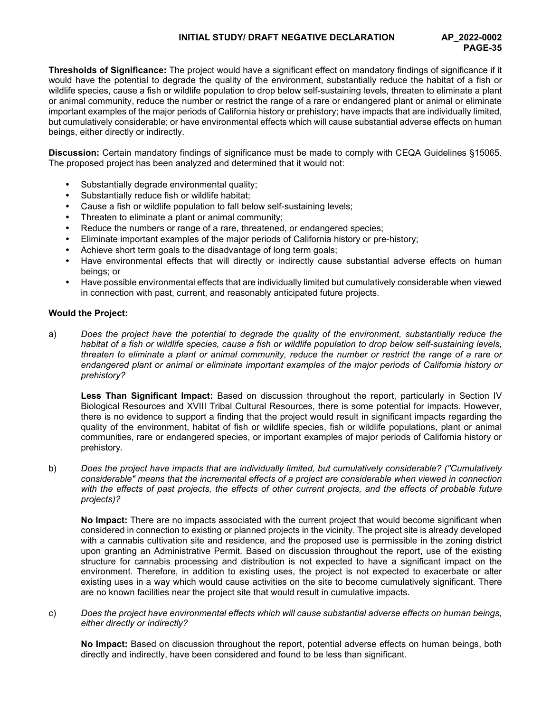# **INITIAL STUDY/ DRAFT NEGATIVE DECLARATION AP\_2022-0002**

**Thresholds of Significance:** The project would have a significant effect on mandatory findings of significance if it would have the potential to degrade the quality of the environment, substantially reduce the habitat of a fish or wildlife species, cause a fish or wildlife population to drop below self-sustaining levels, threaten to eliminate a plant or animal community, reduce the number or restrict the range of a rare or endangered plant or animal or eliminate important examples of the major periods of California history or prehistory; have impacts that are individually limited, but cumulatively considerable; or have environmental effects which will cause substantial adverse effects on human beings, either directly or indirectly.

**Discussion:** Certain mandatory findings of significance must be made to comply with CEQA Guidelines §15065. The proposed project has been analyzed and determined that it would not:

- Substantially degrade environmental quality;
- Substantially reduce fish or wildlife habitat;
- Cause a fish or wildlife population to fall below self-sustaining levels;
- Threaten to eliminate a plant or animal community;
- Reduce the numbers or range of a rare, threatened, or endangered species;
- Eliminate important examples of the major periods of California history or pre-history;
- Achieve short term goals to the disadvantage of long term goals;
- Have environmental effects that will directly or indirectly cause substantial adverse effects on human beings; or
- Have possible environmental effects that are individually limited but cumulatively considerable when viewed in connection with past, current, and reasonably anticipated future projects.

## **Would the Project:**

a) *Does the project have the potential to degrade the quality of the environment, substantially reduce the habitat of a fish or wildlife species, cause a fish or wildlife population to drop below self-sustaining levels, threaten to eliminate a plant or animal community, reduce the number or restrict the range of a rare or endangered plant or animal or eliminate important examples of the major periods of California history or prehistory?*

**Less Than Significant Impact:** Based on discussion throughout the report, particularly in Section IV Biological Resources and XVIII Tribal Cultural Resources, there is some potential for impacts. However, there is no evidence to support a finding that the project would result in significant impacts regarding the quality of the environment, habitat of fish or wildlife species, fish or wildlife populations, plant or animal communities, rare or endangered species, or important examples of major periods of California history or prehistory.

b) *Does the project have impacts that are individually limited, but cumulatively considerable? ("Cumulatively considerable" means that the incremental effects of a project are considerable when viewed in connection*  with the effects of past projects, the effects of other current projects, and the effects of probable future *projects)?*

**No Impact:** There are no impacts associated with the current project that would become significant when considered in connection to existing or planned projects in the vicinity. The project site is already developed with a cannabis cultivation site and residence, and the proposed use is permissible in the zoning district upon granting an Administrative Permit. Based on discussion throughout the report, use of the existing structure for cannabis processing and distribution is not expected to have a significant impact on the environment. Therefore, in addition to existing uses, the project is not expected to exacerbate or alter existing uses in a way which would cause activities on the site to become cumulatively significant. There are no known facilities near the project site that would result in cumulative impacts.

c) *Does the project have environmental effects which will cause substantial adverse effects on human beings, either directly or indirectly?*

**No Impact:** Based on discussion throughout the report, potential adverse effects on human beings, both directly and indirectly, have been considered and found to be less than significant.